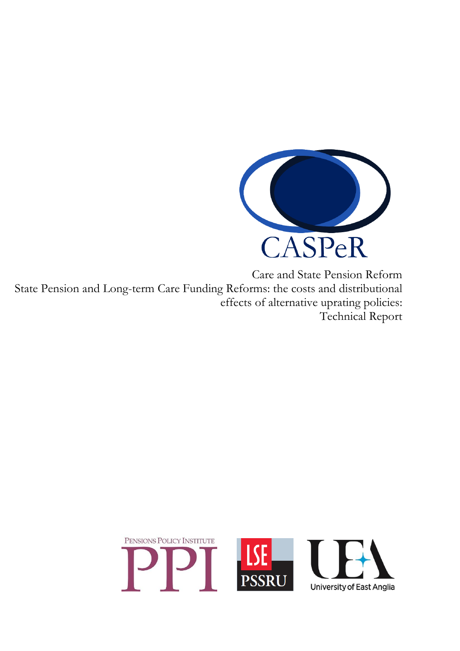

Care and State Pension Reform State Pension and Long-term Care Funding Reforms: the costs and distributional effects of alternative uprating policies: Technical Report

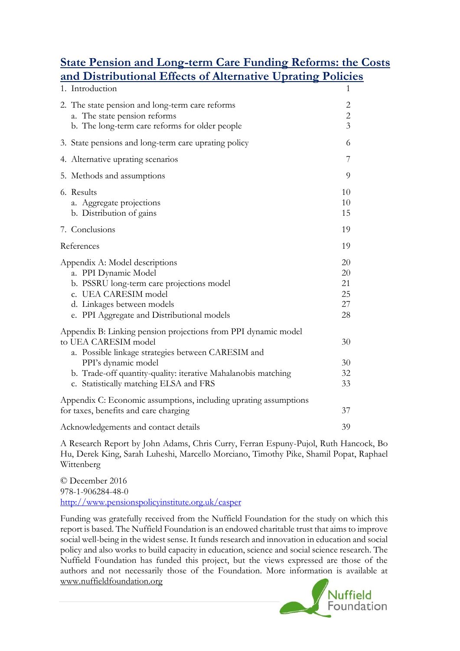# **State Pension and Long-term Care Funding Reforms: the Costs and Distributional Effects of Alternative Uprating Policies**

| 1. Introduction                                                                                                                                                                                                                                                                | 1                                                |
|--------------------------------------------------------------------------------------------------------------------------------------------------------------------------------------------------------------------------------------------------------------------------------|--------------------------------------------------|
| 2. The state pension and long-term care reforms<br>a. The state pension reforms<br>b. The long-term care reforms for older people                                                                                                                                              | $\mathbf{2}$<br>$\overline{c}$<br>$\overline{3}$ |
| 3. State pensions and long-term care uprating policy                                                                                                                                                                                                                           | 6                                                |
| 4. Alternative uprating scenarios                                                                                                                                                                                                                                              | 7                                                |
| 5. Methods and assumptions                                                                                                                                                                                                                                                     | 9                                                |
| 6. Results<br>a. Aggregate projections<br>b. Distribution of gains                                                                                                                                                                                                             | 10<br>10<br>15                                   |
| 7. Conclusions                                                                                                                                                                                                                                                                 | 19                                               |
| References                                                                                                                                                                                                                                                                     | 19                                               |
| Appendix A: Model descriptions<br>a. PPI Dynamic Model<br>b. PSSRU long-term care projections model<br>c. UEA CARESIM model<br>d. Linkages between models<br>e. PPI Aggregate and Distributional models                                                                        | 20<br>20<br>21<br>25<br>27<br>28                 |
| Appendix B: Linking pension projections from PPI dynamic model<br>to UEA CARESIM model<br>a. Possible linkage strategies between CARESIM and<br>PPI's dynamic model<br>b. Trade-off quantity-quality: iterative Mahalanobis matching<br>c. Statistically matching ELSA and FRS | 30<br>30<br>32<br>33                             |
| Appendix C: Economic assumptions, including uprating assumptions<br>for taxes, benefits and care charging                                                                                                                                                                      | 37                                               |
| Acknowledgements and contact details                                                                                                                                                                                                                                           | 39                                               |

A Research Report by John Adams, Chris Curry, Ferran Espuny-Pujol, Ruth Hancock, Bo Hu, Derek King, Sarah Luheshi, Marcello Morciano, Timothy Pike, Shamil Popat, Raphael Wittenberg

© December 2016 978-1-906284-48-0 <http://www.pensionspolicyinstitute.org.uk/casper>

Funding was gratefully received from the Nuffield Foundation for the study on which this report is based. The Nuffield Foundation is an endowed charitable trust that aims to improve social well-being in the widest sense. It funds research and innovation in education and social policy and also works to build capacity in education, science and social science research. The Nuffield Foundation has funded this project, but the views expressed are those of the authors and not necessarily those of the Foundation. More information is available at www.nuffieldfoundation.org

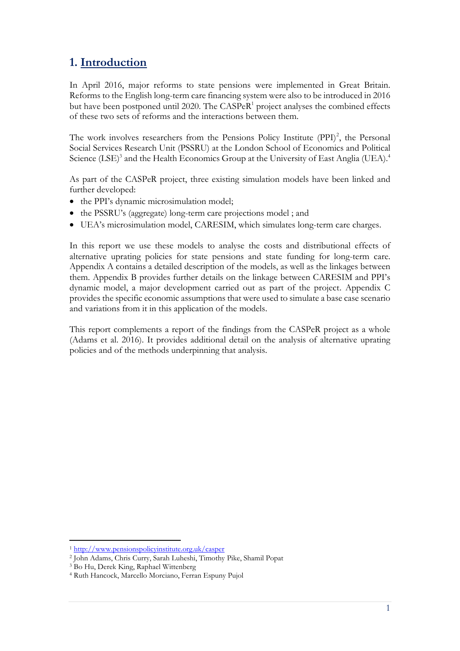# **1. Introduction**

In April 2016, major reforms to state pensions were implemented in Great Britain. Reforms to the English long-term care financing system were also to be introduced in 2016 but have been postponed until 2020. The  $CASPeR<sup>1</sup>$  project analyses the combined effects of these two sets of reforms and the interactions between them.

The work involves researchers from the Pensions Policy Institute  $(PPI)^2$ , the Personal Social Services Research Unit (PSSRU) at the London School of Economics and Political Science (LSE)<sup>3</sup> and the Health Economics Group at the University of East Anglia (UEA).<sup>4</sup>

As part of the CASPeR project, three existing simulation models have been linked and further developed:

- the PPI's dynamic microsimulation model;
- the PSSRU's (aggregate) long-term care projections model; and
- UEA's microsimulation model, CARESIM, which simulates long-term care charges.

In this report we use these models to analyse the costs and distributional effects of alternative uprating policies for state pensions and state funding for long-term care. Appendix A contains a detailed description of the models, as well as the linkages between them. Appendix B provides further details on the linkage between CARESIM and PPI's dynamic model, a major development carried out as part of the project. Appendix C provides the specific economic assumptions that were used to simulate a base case scenario and variations from it in this application of the models.

This report complements a report of the findings from the CASPeR project as a whole (Adams et al. 2016). It provides additional detail on the analysis of alternative uprating policies and of the methods underpinning that analysis.

<sup>-</sup><sup>1</sup> <http://www.pensionspolicyinstitute.org.uk/casper>

<sup>2</sup> John Adams, Chris Curry, Sarah Luheshi, Timothy Pike, Shamil Popat

<sup>3</sup> Bo Hu, Derek King, Raphael Wittenberg

<sup>4</sup> Ruth Hancock, Marcello Morciano, Ferran Espuny Pujol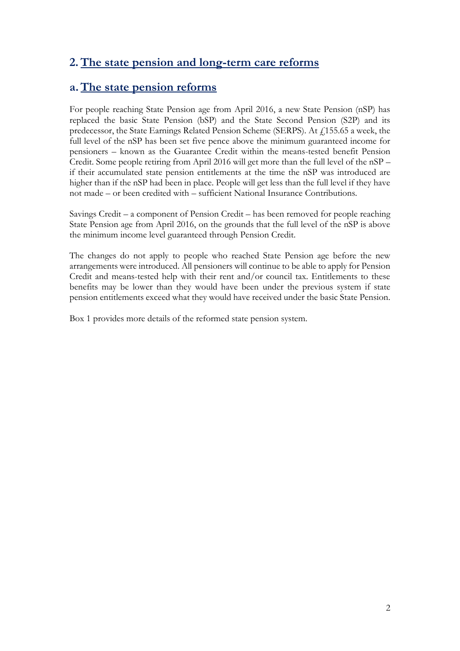# **2.The state pension and long-term care reforms**

## **a.The state pension reforms**

For people reaching State Pension age from April 2016, a new State Pension (nSP) has replaced the basic State Pension (bSP) and the State Second Pension (S2P) and its predecessor, the State Earnings Related Pension Scheme (SERPS). At £155.65 a week, the full level of the nSP has been set five pence above the minimum guaranteed income for pensioners – known as the Guarantee Credit within the means-tested benefit Pension Credit. Some people retiring from April 2016 will get more than the full level of the nSP – if their accumulated state pension entitlements at the time the nSP was introduced are higher than if the nSP had been in place. People will get less than the full level if they have not made – or been credited with – sufficient National Insurance Contributions.

Savings Credit – a component of Pension Credit – has been removed for people reaching State Pension age from April 2016, on the grounds that the full level of the nSP is above the minimum income level guaranteed through Pension Credit.

The changes do not apply to people who reached State Pension age before the new arrangements were introduced. All pensioners will continue to be able to apply for Pension Credit and means-tested help with their rent and/or council tax. Entitlements to these benefits may be lower than they would have been under the previous system if state pension entitlements exceed what they would have received under the basic State Pension.

Box 1 provides more details of the reformed state pension system.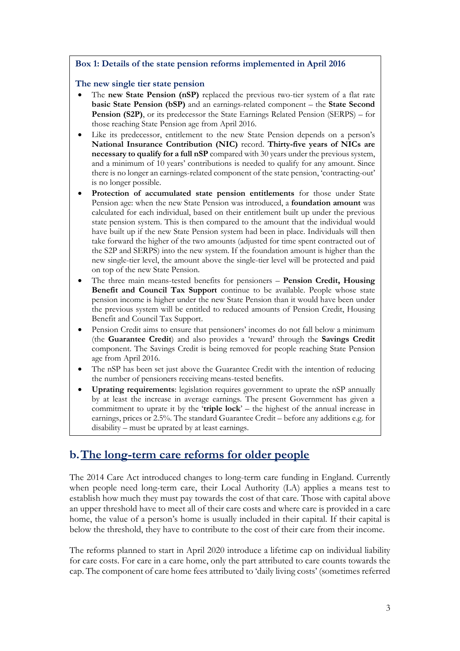### **Box 1: Details of the state pension reforms implemented in April 2016**

### **The new single tier state pension**

- The **new State Pension (nSP)** replaced the previous two-tier system of a flat rate **basic State Pension (bSP)** and an earnings-related component – the **State Second Pension (S2P)**, or its predecessor the State Earnings Related Pension (SERPS) – for those reaching State Pension age from April 2016.
- Like its predecessor, entitlement to the new State Pension depends on a person's **National Insurance Contribution (NIC)** record. **Thirty-five years of NICs are necessary to qualify for a full nSP** compared with 30 years under the previous system, and a minimum of 10 years' contributions is needed to qualify for any amount. Since there is no longer an earnings-related component of the state pension, 'contracting-out' is no longer possible.
- **Protection of accumulated state pension entitlements** for those under State Pension age: when the new State Pension was introduced, a **foundation amount** was calculated for each individual, based on their entitlement built up under the previous state pension system. This is then compared to the amount that the individual would have built up if the new State Pension system had been in place. Individuals will then take forward the higher of the two amounts (adjusted for time spent contracted out of the S2P and SERPS) into the new system. If the foundation amount is higher than the new single-tier level, the amount above the single-tier level will be protected and paid on top of the new State Pension.
- The three main means-tested benefits for pensioners **Pension Credit, Housing Benefit and Council Tax Support** continue to be available. People whose state pension income is higher under the new State Pension than it would have been under the previous system will be entitled to reduced amounts of Pension Credit, Housing Benefit and Council Tax Support.
- Pension Credit aims to ensure that pensioners' incomes do not fall below a minimum (the **Guarantee Credit**) and also provides a 'reward' through the **Savings Credit** component. The Savings Credit is being removed for people reaching State Pension age from April 2016.
- The nSP has been set just above the Guarantee Credit with the intention of reducing the number of pensioners receiving means-tested benefits.
- **Uprating requirements**: legislation requires government to uprate the nSP annually by at least the increase in average earnings. The present Government has given a commitment to uprate it by the '**triple lock**' – the highest of the annual increase in earnings, prices or 2.5%. The standard Guarantee Credit – before any additions e.g. for disability – must be uprated by at least earnings.

## **b.The long-term care reforms for older people**

The 2014 Care Act introduced changes to long-term care funding in England. Currently when people need long-term care, their Local Authority (LA) applies a means test to establish how much they must pay towards the cost of that care. Those with capital above an upper threshold have to meet all of their care costs and where care is provided in a care home, the value of a person's home is usually included in their capital. If their capital is below the threshold, they have to contribute to the cost of their care from their income.

The reforms planned to start in April 2020 introduce a lifetime cap on individual liability for care costs. For care in a care home, only the part attributed to care counts towards the cap. The component of care home fees attributed to 'daily living costs' (sometimes referred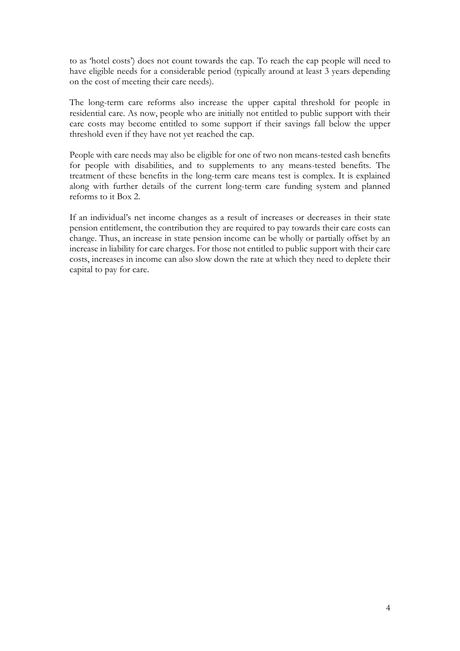to as 'hotel costs') does not count towards the cap. To reach the cap people will need to have eligible needs for a considerable period (typically around at least 3 years depending on the cost of meeting their care needs).

The long-term care reforms also increase the upper capital threshold for people in residential care. As now, people who are initially not entitled to public support with their care costs may become entitled to some support if their savings fall below the upper threshold even if they have not yet reached the cap.

People with care needs may also be eligible for one of two non means-tested cash benefits for people with disabilities, and to supplements to any means-tested benefits. The treatment of these benefits in the long-term care means test is complex. It is explained along with further details of the current long-term care funding system and planned reforms to it Box 2.

If an individual's net income changes as a result of increases or decreases in their state pension entitlement, the contribution they are required to pay towards their care costs can change. Thus, an increase in state pension income can be wholly or partially offset by an increase in liability for care charges. For those not entitled to public support with their care costs, increases in income can also slow down the rate at which they need to deplete their capital to pay for care.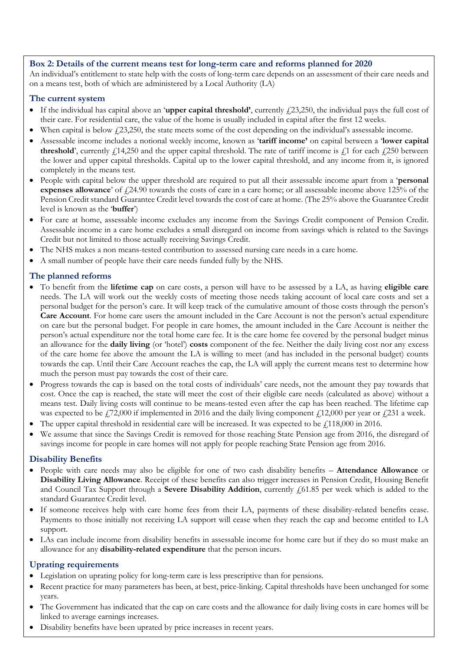### **Box 2: Details of the current means test for long-term care and reforms planned for 2020**

An individual's entitlement to state help with the costs of long-term care depends on an assessment of their care needs and on a means test, both of which are administered by a Local Authority (LA)

#### **The current system**

- If the individual has capital above an '**upper capital threshold'**, currently  $f(23,250)$ , the individual pays the full cost of their care. For residential care, the value of the home is usually included in capital after the first 12 weeks.
- When capital is below  $f(23,250)$ , the state meets some of the cost depending on the individual's assessable income.
- Assessable income includes a notional weekly income, known as '**tariff income'** on capital between a '**lower capital threshold**', currently  $\ell$ 14,250 and the upper capital threshold. The rate of tariff income is  $\ell$ 1 for each  $\ell$ 250 between the lower and upper capital thresholds. Capital up to the lower capital threshold, and any income from it, is ignored completely in the means test.
- People with capital below the upper threshold are required to put all their assessable income apart from a '**personal expenses allowance**' of £24.90 towards the costs of care in a care home; or all assessable income above 125% of the Pension Credit standard Guarantee Credit level towards the cost of care at home. (The 25% above the Guarantee Credit level is known as the '**buffer**')
- For care at home, assessable income excludes any income from the Savings Credit component of Pension Credit. Assessable income in a care home excludes a small disregard on income from savings which is related to the Savings Credit but not limited to those actually receiving Savings Credit.
- The NHS makes a non means-tested contribution to assessed nursing care needs in a care home.
- A small number of people have their care needs funded fully by the NHS.

#### **The planned reforms**

- To benefit from the **lifetime cap** on care costs, a person will have to be assessed by a LA, as having **eligible care** needs. The LA will work out the weekly costs of meeting those needs taking account of local care costs and set a personal budget for the person's care. It will keep track of the cumulative amount of those costs through the person's **Care Account**. For home care users the amount included in the Care Account is not the person's actual expenditure on care but the personal budget. For people in care homes, the amount included in the Care Account is neither the person's actual expenditure nor the total home care fee. It is the care home fee covered by the personal budget minus an allowance for the **daily living** (or 'hotel') **costs** component of the fee. Neither the daily living cost nor any excess of the care home fee above the amount the LA is willing to meet (and has included in the personal budget) counts towards the cap. Until their Care Account reaches the cap, the LA will apply the current means test to determine how much the person must pay towards the cost of their care.
- Progress towards the cap is based on the total costs of individuals' care needs, not the amount they pay towards that cost. Once the cap is reached, the state will meet the cost of their eligible care needs (calculated as above) without a means test. Daily living costs will continue to be means-tested even after the cap has been reached. The lifetime cap was expected to be  $\frac{1}{22,000}$  if implemented in 2016 and the daily living component  $\frac{1}{2,000}$  per year or  $\frac{1}{2,21}$  a week.
- The upper capital threshold in residential care will be increased. It was expected to be  $f<sub>i</sub>118,000$  in 2016.
- We assume that since the Savings Credit is removed for those reaching State Pension age from 2016, the disregard of savings income for people in care homes will not apply for people reaching State Pension age from 2016.

#### **Disability Benefits**

- People with care needs may also be eligible for one of two cash disability benefits **Attendance Allowance** or **Disability Living Allowance**. Receipt of these benefits can also trigger increases in Pension Credit, Housing Benefit and Council Tax Support through a **Severe Disability Addition**, currently  $f(61.85)$  per week which is added to the standard Guarantee Credit level.
- If someone receives help with care home fees from their LA, payments of these disability-related benefits cease. Payments to those initially not receiving LA support will cease when they reach the cap and become entitled to LA support.
- LAs can include income from disability benefits in assessable income for home care but if they do so must make an allowance for any **disability-related expenditure** that the person incurs.

#### **Uprating requirements**

- Legislation on uprating policy for long-term care is less prescriptive than for pensions.
- Recent practice for many parameters has been, at best, price-linking. Capital thresholds have been unchanged for some years.
- 5 The Government has indicated that the cap on care costs and the allowance for daily living costs in care homes will be linked to average earnings increases.
- Disability benefits have been uprated by price increases in recent years.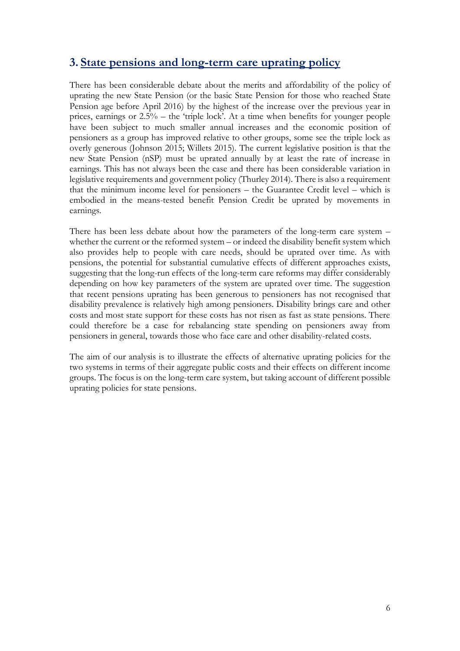### **3. State pensions and long-term care uprating policy**

There has been considerable debate about the merits and affordability of the policy of uprating the new State Pension (or the basic State Pension for those who reached State Pension age before April 2016) by the highest of the increase over the previous year in prices, earnings or 2.5% – the 'triple lock'. At a time when benefits for younger people have been subject to much smaller annual increases and the economic position of pensioners as a group has improved relative to other groups, some see the triple lock as overly generous (Johnson 2015; Willets 2015). The current legislative position is that the new State Pension (nSP) must be uprated annually by at least the rate of increase in earnings. This has not always been the case and there has been considerable variation in legislative requirements and government policy (Thurley 2014). There is also a requirement that the minimum income level for pensioners – the Guarantee Credit level – which is embodied in the means-tested benefit Pension Credit be uprated by movements in earnings.

There has been less debate about how the parameters of the long-term care system – whether the current or the reformed system – or indeed the disability benefit system which also provides help to people with care needs, should be uprated over time. As with pensions, the potential for substantial cumulative effects of different approaches exists, suggesting that the long-run effects of the long-term care reforms may differ considerably depending on how key parameters of the system are uprated over time. The suggestion that recent pensions uprating has been generous to pensioners has not recognised that disability prevalence is relatively high among pensioners. Disability brings care and other costs and most state support for these costs has not risen as fast as state pensions. There could therefore be a case for rebalancing state spending on pensioners away from pensioners in general, towards those who face care and other disability-related costs.

The aim of our analysis is to illustrate the effects of alternative uprating policies for the two systems in terms of their aggregate public costs and their effects on different income groups. The focus is on the long-term care system, but taking account of different possible uprating policies for state pensions.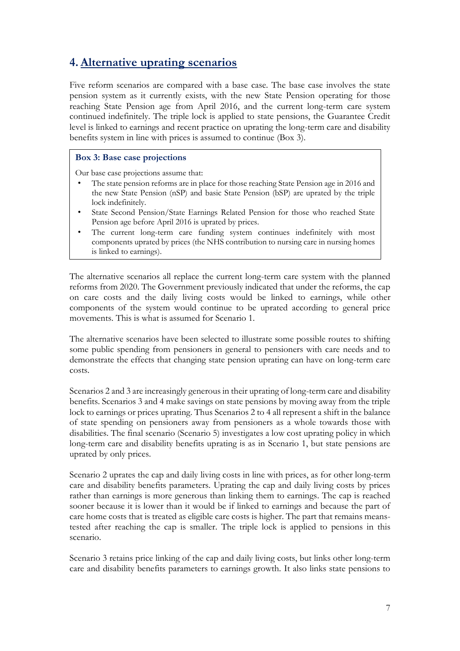# **4.Alternative uprating scenarios**

Five reform scenarios are compared with a base case. The base case involves the state pension system as it currently exists, with the new State Pension operating for those reaching State Pension age from April 2016, and the current long-term care system continued indefinitely. The triple lock is applied to state pensions, the Guarantee Credit level is linked to earnings and recent practice on uprating the long-term care and disability benefits system in line with prices is assumed to continue (Box 3).

### **Box 3: Base case projections**

Our base case projections assume that:

- The state pension reforms are in place for those reaching State Pension age in 2016 and the new State Pension (nSP) and basic State Pension (bSP) are uprated by the triple lock indefinitely.
- State Second Pension/State Earnings Related Pension for those who reached State Pension age before April 2016 is uprated by prices.
- The current long-term care funding system continues indefinitely with most components uprated by prices (the NHS contribution to nursing care in nursing homes is linked to earnings).

The alternative scenarios all replace the current long-term care system with the planned reforms from 2020. The Government previously indicated that under the reforms, the cap on care costs and the daily living costs would be linked to earnings, while other components of the system would continue to be uprated according to general price movements. This is what is assumed for Scenario 1.

The alternative scenarios have been selected to illustrate some possible routes to shifting some public spending from pensioners in general to pensioners with care needs and to demonstrate the effects that changing state pension uprating can have on long-term care costs.

Scenarios 2 and 3 are increasingly generous in their uprating of long-term care and disability benefits. Scenarios 3 and 4 make savings on state pensions by moving away from the triple lock to earnings or prices uprating. Thus Scenarios 2 to 4 all represent a shift in the balance of state spending on pensioners away from pensioners as a whole towards those with disabilities. The final scenario (Scenario 5) investigates a low cost uprating policy in which long-term care and disability benefits uprating is as in Scenario 1, but state pensions are uprated by only prices.

Scenario 2 uprates the cap and daily living costs in line with prices, as for other long-term care and disability benefits parameters. Uprating the cap and daily living costs by prices rather than earnings is more generous than linking them to earnings. The cap is reached sooner because it is lower than it would be if linked to earnings and because the part of care home costs that is treated as eligible care costs is higher. The part that remains meanstested after reaching the cap is smaller. The triple lock is applied to pensions in this scenario.

Scenario 3 retains price linking of the cap and daily living costs, but links other long-term care and disability benefits parameters to earnings growth. It also links state pensions to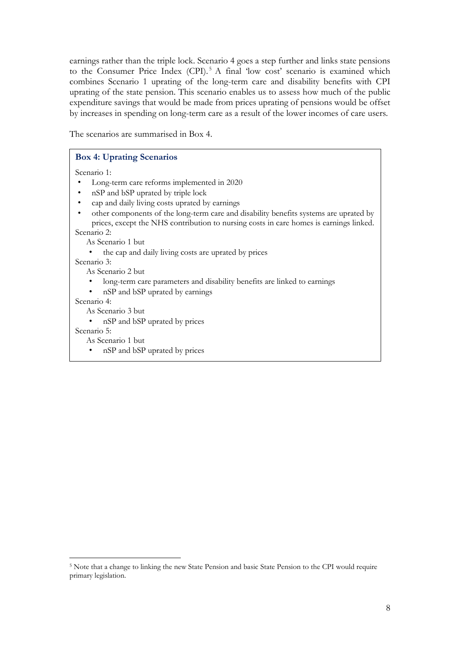earnings rather than the triple lock. Scenario 4 goes a step further and links state pensions to the Consumer Price Index (CPI).<sup>5</sup> A final 'low cost' scenario is examined which combines Scenario 1 uprating of the long-term care and disability benefits with CPI uprating of the state pension. This scenario enables us to assess how much of the public expenditure savings that would be made from prices uprating of pensions would be offset by increases in spending on long-term care as a result of the lower incomes of care users.

The scenarios are summarised in Box 4.

| <b>Box 4: Uprating Scenarios</b>                                                                                                                                                                                                           |
|--------------------------------------------------------------------------------------------------------------------------------------------------------------------------------------------------------------------------------------------|
| Scenario 1:<br>Long-term care reforms implemented in 2020<br>nSP and bSP uprated by triple lock<br>cap and daily living costs uprated by earnings<br>other components of the long-term care and disability benefits systems are uprated by |
| prices, except the NHS contribution to nursing costs in care homes is earnings linked.                                                                                                                                                     |
| Scenario 2:                                                                                                                                                                                                                                |
| As Scenario 1 but                                                                                                                                                                                                                          |
| the cap and daily living costs are uprated by prices                                                                                                                                                                                       |
| Scenario 3:                                                                                                                                                                                                                                |
| As Scenario 2 but                                                                                                                                                                                                                          |
| long-term care parameters and disability benefits are linked to earnings                                                                                                                                                                   |
| nSP and bSP uprated by earnings                                                                                                                                                                                                            |
| Scenario 4:                                                                                                                                                                                                                                |
| As Scenario 3 but                                                                                                                                                                                                                          |
| • nSP and bSP uprated by prices                                                                                                                                                                                                            |
| Scenario 5:                                                                                                                                                                                                                                |
| As Scenario 1 but                                                                                                                                                                                                                          |
| nSP and bSP uprated by prices                                                                                                                                                                                                              |

-

<sup>5</sup> Note that a change to linking the new State Pension and basic State Pension to the CPI would require primary legislation.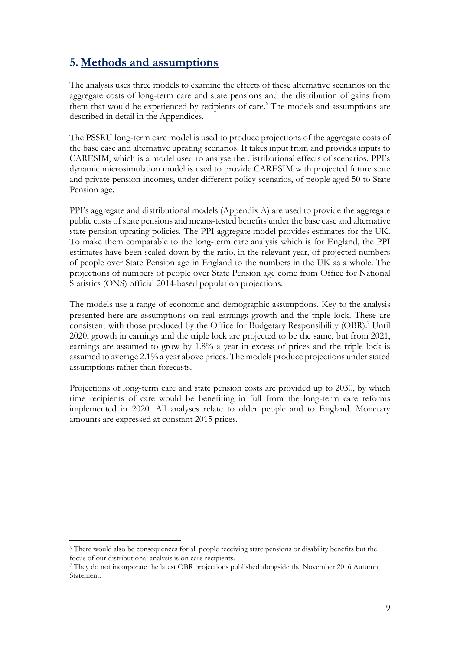# **5. Methods and assumptions**

The analysis uses three models to examine the effects of these alternative scenarios on the aggregate costs of long-term care and state pensions and the distribution of gains from them that would be experienced by recipients of care. <sup>6</sup> The models and assumptions are described in detail in the Appendices.

The PSSRU long-term care model is used to produce projections of the aggregate costs of the base case and alternative uprating scenarios. It takes input from and provides inputs to CARESIM, which is a model used to analyse the distributional effects of scenarios. PPI's dynamic microsimulation model is used to provide CARESIM with projected future state and private pension incomes, under different policy scenarios, of people aged 50 to State Pension age.

PPI's aggregate and distributional models (Appendix A) are used to provide the aggregate public costs of state pensions and means-tested benefits under the base case and alternative state pension uprating policies. The PPI aggregate model provides estimates for the UK. To make them comparable to the long-term care analysis which is for England, the PPI estimates have been scaled down by the ratio, in the relevant year, of projected numbers of people over State Pension age in England to the numbers in the UK as a whole. The projections of numbers of people over State Pension age come from Office for National Statistics (ONS) official 2014-based population projections.

The models use a range of economic and demographic assumptions. Key to the analysis presented here are assumptions on real earnings growth and the triple lock. These are consistent with those produced by the Office for Budgetary Responsibility (OBR).<sup>7</sup> Until 2020, growth in earnings and the triple lock are projected to be the same, but from 2021, earnings are assumed to grow by 1.8% a year in excess of prices and the triple lock is assumed to average 2.1% a year above prices. The models produce projections under stated assumptions rather than forecasts.

Projections of long-term care and state pension costs are provided up to 2030, by which time recipients of care would be benefiting in full from the long-term care reforms implemented in 2020. All analyses relate to older people and to England. Monetary amounts are expressed at constant 2015 prices.

-

<sup>6</sup> There would also be consequences for all people receiving state pensions or disability benefits but the focus of our distributional analysis is on care recipients.

<sup>7</sup> They do not incorporate the latest OBR projections published alongside the November 2016 Autumn Statement.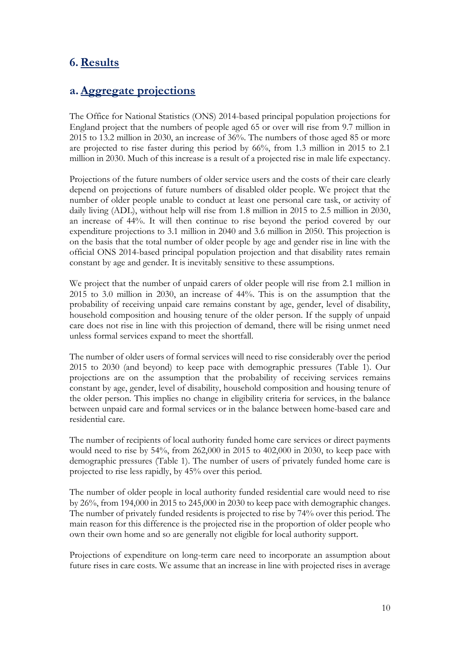## **6.Results**

### **a.Aggregate projections**

The Office for National Statistics (ONS) 2014-based principal population projections for England project that the numbers of people aged 65 or over will rise from 9.7 million in 2015 to 13.2 million in 2030, an increase of 36%. The numbers of those aged 85 or more are projected to rise faster during this period by 66%, from 1.3 million in 2015 to 2.1 million in 2030. Much of this increase is a result of a projected rise in male life expectancy.

Projections of the future numbers of older service users and the costs of their care clearly depend on projections of future numbers of disabled older people. We project that the number of older people unable to conduct at least one personal care task, or activity of daily living (ADL), without help will rise from 1.8 million in 2015 to 2.5 million in 2030, an increase of 44%. It will then continue to rise beyond the period covered by our expenditure projections to 3.1 million in 2040 and 3.6 million in 2050. This projection is on the basis that the total number of older people by age and gender rise in line with the official ONS 2014-based principal population projection and that disability rates remain constant by age and gender. It is inevitably sensitive to these assumptions.

We project that the number of unpaid carers of older people will rise from 2.1 million in 2015 to 3.0 million in 2030, an increase of 44%. This is on the assumption that the probability of receiving unpaid care remains constant by age, gender, level of disability, household composition and housing tenure of the older person. If the supply of unpaid care does not rise in line with this projection of demand, there will be rising unmet need unless formal services expand to meet the shortfall.

The number of older users of formal services will need to rise considerably over the period 2015 to 2030 (and beyond) to keep pace with demographic pressures (Table 1). Our projections are on the assumption that the probability of receiving services remains constant by age, gender, level of disability, household composition and housing tenure of the older person. This implies no change in eligibility criteria for services, in the balance between unpaid care and formal services or in the balance between home-based care and residential care.

The number of recipients of local authority funded home care services or direct payments would need to rise by 54%, from 262,000 in 2015 to 402,000 in 2030, to keep pace with demographic pressures (Table 1). The number of users of privately funded home care is projected to rise less rapidly, by 45% over this period.

The number of older people in local authority funded residential care would need to rise by 26%, from 194,000 in 2015 to 245,000 in 2030 to keep pace with demographic changes. The number of privately funded residents is projected to rise by 74% over this period. The main reason for this difference is the projected rise in the proportion of older people who own their own home and so are generally not eligible for local authority support.

Projections of expenditure on long-term care need to incorporate an assumption about future rises in care costs. We assume that an increase in line with projected rises in average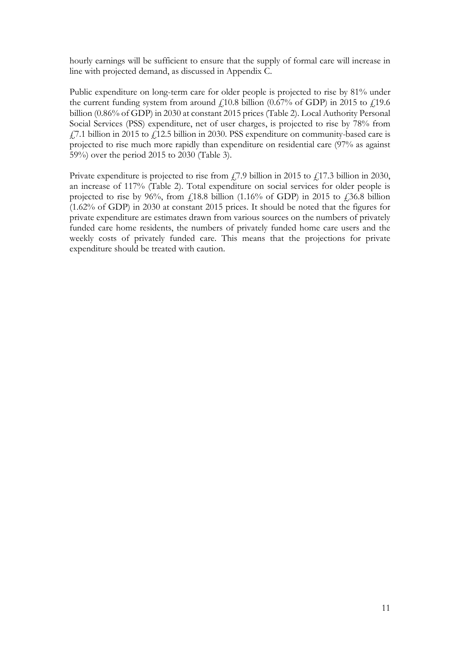hourly earnings will be sufficient to ensure that the supply of formal care will increase in line with projected demand, as discussed in Appendix C.

Public expenditure on long-term care for older people is projected to rise by 81% under the current funding system from around  $f<sub>10.8</sub>$  billion (0.67% of GDP) in 2015 to  $f<sub>19.6</sub>$ billion (0.86% of GDP) in 2030 at constant 2015 prices (Table 2). Local Authority Personal Social Services (PSS) expenditure, net of user charges, is projected to rise by 78% from  $f$ ,  $\frac{7}{1}$  billion in 2015 to  $f$ ,  $\frac{12.5}{100}$  billion in 2030. PSS expenditure on community-based care is projected to rise much more rapidly than expenditure on residential care (97% as against 59%) over the period 2015 to 2030 (Table 3).

Private expenditure is projected to rise from  $f$ , 7.9 billion in 2015 to  $f$ , 17.3 billion in 2030, an increase of 117% (Table 2). Total expenditure on social services for older people is projected to rise by 96%, from  $\text{\emph{L}}18.8$  billion (1.16% of GDP) in 2015 to  $\text{\emph{L}}36.8$  billion (1.62% of GDP) in 2030 at constant 2015 prices. It should be noted that the figures for private expenditure are estimates drawn from various sources on the numbers of privately funded care home residents, the numbers of privately funded home care users and the weekly costs of privately funded care. This means that the projections for private expenditure should be treated with caution.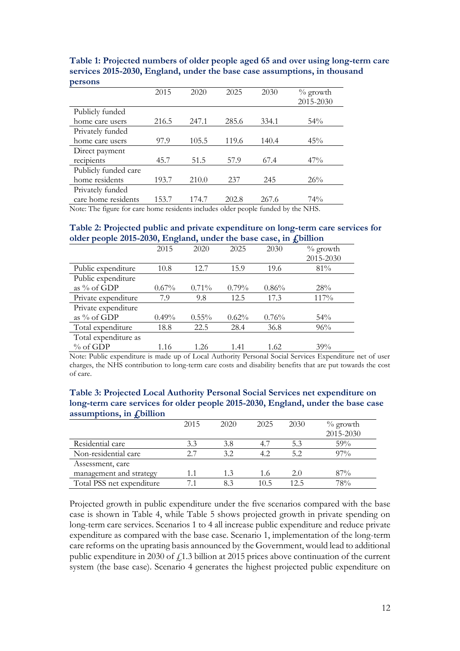| Personio             |       |       |       |       |                          |
|----------------------|-------|-------|-------|-------|--------------------------|
|                      | 2015  | 2020  | 2025  | 2030  | $\%$ growth<br>2015-2030 |
| Publicly funded      |       |       |       |       |                          |
| home care users      | 216.5 | 247.1 | 285.6 | 334.1 | $54\%$                   |
| Privately funded     |       |       |       |       |                          |
| home care users      | 97.9  | 105.5 | 119.6 | 140.4 | 45%                      |
| Direct payment       |       |       |       |       |                          |
| recipients           | 45.7  | 51.5  | 57.9  | 67.4  | $47\%$                   |
| Publicly funded care |       |       |       |       |                          |
| home residents       | 193.7 | 210.0 | 237   | 245   | 26%                      |
| Privately funded     |       |       |       |       |                          |
| care home residents  | 153.7 | 174.7 | 202.8 | 267.6 | 74%                      |

**Table 1: Projected numbers of older people aged 65 and over using long-term care services 2015-2030, England, under the base case assumptions, in thousand persons**

Note: The figure for care home residents includes older people funded by the NHS.

#### **Table 2: Projected public and private expenditure on long-term care services for older people 2015-2030, England, under the base case, in £billion**

|                      | ె        |          |          |       | ־יש         |
|----------------------|----------|----------|----------|-------|-------------|
|                      | 2015     | 2020     | 2025     | 2030  | $\%$ growth |
|                      |          |          |          |       | 2015-2030   |
| Public expenditure   | 10.8     | 12.7     | 15.9     | 19.6  | 81%         |
| Public expenditure   |          |          |          |       |             |
| as % of GDP          | $0.67\%$ | $0.71\%$ | $0.79\%$ | 0.86% | 28%         |
| Private expenditure  | 7.9      | 9.8      | 12.5     | 17.3  | 117%        |
| Private expenditure  |          |          |          |       |             |
| as % of GDP          | $0.49\%$ | $0.55\%$ | 0.62%    | 0.76% | $54\%$      |
| Total expenditure    | 18.8     | 22.5     | 28.4     | 36.8  | 96%         |
| Total expenditure as |          |          |          |       |             |
| % of GDP             | 1.16     | 1.26     | 1.41     | 1.62  | 39%         |

Note: Public expenditure is made up of Local Authority Personal Social Services Expenditure net of user charges, the NHS contribution to long-term care costs and disability benefits that are put towards the cost of care.

| Table 3: Projected Local Authority Personal Social Services net expenditure on   |
|----------------------------------------------------------------------------------|
| long-term care services for older people 2015-2030, England, under the base case |
| assumptions, in $fs$ billion                                                     |

| $\sim$                    |      |      |      |      |             |
|---------------------------|------|------|------|------|-------------|
|                           | 2015 | 2020 | 2025 | 2030 | $\%$ growth |
|                           |      |      |      |      | 2015-2030   |
| Residential care          | 3.3  | 3.8  |      | 5.3  | 59%         |
| Non-residential care      | 2.7  | 3.2  | 4.2  | 5.2  | $97\%$      |
| Assessment, care          |      |      |      |      |             |
| management and strategy   | 1.1  | 1.3  | 1.6  | 2.0  | 87%         |
| Total PSS net expenditure |      | 8.3  | 10.5 | 12.5 | 78%         |

Projected growth in public expenditure under the five scenarios compared with the base case is shown in Table 4, while Table 5 shows projected growth in private spending on long-term care services. Scenarios 1 to 4 all increase public expenditure and reduce private expenditure as compared with the base case. Scenario 1, implementation of the long-term care reforms on the uprating basis announced by the Government, would lead to additional public expenditure in 2030 of  $f$ 1.3 billion at 2015 prices above continuation of the current system (the base case). Scenario 4 generates the highest projected public expenditure on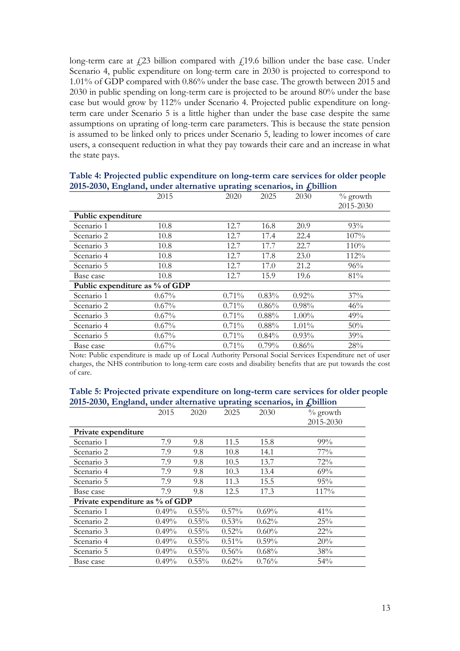long-term care at  $f(23)$  billion compared with  $f(19.6)$  billion under the base case. Under Scenario 4, public expenditure on long-term care in 2030 is projected to correspond to 1.01% of GDP compared with 0.86% under the base case. The growth between 2015 and 2030 in public spending on long-term care is projected to be around 80% under the base case but would grow by 112% under Scenario 4. Projected public expenditure on longterm care under Scenario 5 is a little higher than under the base case despite the same assumptions on uprating of long-term care parameters. This is because the state pension is assumed to be linked only to prices under Scenario 5, leading to lower incomes of care users, a consequent reduction in what they pay towards their care and an increase in what the state pays.

|                    | $\frac{1}{2}$ $\frac{1}{2}$ $\frac{1}{2}$ $\frac{1}{2}$ $\frac{1}{2}$ $\frac{1}{2}$ $\frac{1}{2}$ $\frac{1}{2}$ $\frac{1}{2}$ $\frac{1}{2}$ $\frac{1}{2}$ $\frac{1}{2}$ $\frac{1}{2}$ $\frac{1}{2}$ $\frac{1}{2}$ $\frac{1}{2}$ $\frac{1}{2}$ $\frac{1}{2}$ $\frac{1}{2}$ $\frac{1}{2}$ $\frac{1}{2}$ $\frac{1}{2}$ |          |          |          |            |
|--------------------|---------------------------------------------------------------------------------------------------------------------------------------------------------------------------------------------------------------------------------------------------------------------------------------------------------------------|----------|----------|----------|------------|
|                    | 2015                                                                                                                                                                                                                                                                                                                | 2020     | 2025     | 2030     | $%$ growth |
|                    |                                                                                                                                                                                                                                                                                                                     |          |          |          | 2015-2030  |
| Public expenditure |                                                                                                                                                                                                                                                                                                                     |          |          |          |            |
| Scenario 1         | 10.8                                                                                                                                                                                                                                                                                                                | 12.7     | 16.8     | 20.9     | 93%        |
| Scenario 2         | 10.8                                                                                                                                                                                                                                                                                                                | 12.7     | 17.4     | 22.4     | 107%       |
| Scenario 3         | 10.8                                                                                                                                                                                                                                                                                                                | 12.7     | 17.7     | 22.7     | 110%       |
| Scenario 4         | 10.8                                                                                                                                                                                                                                                                                                                | 12.7     | 17.8     | 23.0     | 112%       |
| Scenario 5         | 10.8                                                                                                                                                                                                                                                                                                                | 12.7     | 17.0     | 21.2     | 96%        |
| Base case          | 10.8                                                                                                                                                                                                                                                                                                                | 12.7     | 15.9     | 19.6     | 81%        |
|                    | Public expenditure as % of GDP                                                                                                                                                                                                                                                                                      |          |          |          |            |
| Scenario 1         | $0.67\%$                                                                                                                                                                                                                                                                                                            | 0.71%    | 0.83%    | 0.92%    | 37%        |
| Scenario 2         | $0.67\%$                                                                                                                                                                                                                                                                                                            | $0.71\%$ | $0.86\%$ | 0.98%    | 46%        |
| Scenario 3         | $0.67\%$                                                                                                                                                                                                                                                                                                            | 0.71%    | $0.88\%$ | $1.00\%$ | 49%        |
| Scenario 4         | 0.67%                                                                                                                                                                                                                                                                                                               | 0.71%    | 0.88%    | 1.01%    | 50%        |
| Scenario 5         | $0.67\%$                                                                                                                                                                                                                                                                                                            | 0.71%    | $0.84\%$ | 0.93%    | 39%        |
| Base case          | 0.67%                                                                                                                                                                                                                                                                                                               | 0.71%    | $0.79\%$ | 0.86%    | 28%        |

**Table 4: Projected public expenditure on long-term care services for older people 2015-2030, England, under alternative uprating scenarios, in £billion**

Note: Public expenditure is made up of Local Authority Personal Social Services Expenditure net of user charges, the NHS contribution to long-term care costs and disability benefits that are put towards the cost of care.

| Table 5: Projected private expenditure on long-term care services for older people  |
|-------------------------------------------------------------------------------------|
| 2015-2030, England, under alternative uprating scenarios, in $\mathbf{f}_i$ billion |

| 0                               |          |          |       | $\mathbf{\sigma}$ | ∼           |
|---------------------------------|----------|----------|-------|-------------------|-------------|
|                                 | 2015     | 2020     | 2025  | 2030              | $\%$ growth |
|                                 |          |          |       |                   | 2015-2030   |
| Private expenditure             |          |          |       |                   |             |
| Scenario 1                      | 7.9      | 9.8      | 11.5  | 15.8              | $99\%$      |
| Scenario 2                      | 7.9      | 9.8      | 10.8  | 14.1              | $77\%$      |
| Scenario 3                      | 7.9      | 9.8      | 10.5  | 13.7              | 72%         |
| Scenario 4                      | 7.9      | 9.8      | 10.3  | 13.4              | 69%         |
| Scenario 5                      | 7.9      | 9.8      | 11.3  | 15.5              | 95%         |
| Base case                       | 7.9      | 9.8      | 12.5  | 17.3              | 117%        |
| Private expenditure as % of GDP |          |          |       |                   |             |
| Scenario 1                      | $0.49\%$ | $0.55\%$ | 0.57% | $0.69\%$          | 41%         |
| Scenario 2                      | 0.49%    | $0.55\%$ | 0.53% | 0.62%             | 25%         |
| Scenario 3                      | 0.49%    | $0.55\%$ | 0.52% | 0.60%             | $22\%$      |
| Scenario 4                      | 0.49%    | $0.55\%$ | 0.51% | 0.59%             | 20%         |
| Scenario 5                      | 0.49%    | $0.55\%$ | 0.56% | 0.68%             | 38%         |
| Base case                       | 0.49%    | $0.55\%$ | 0.62% | 0.76%             | 54%         |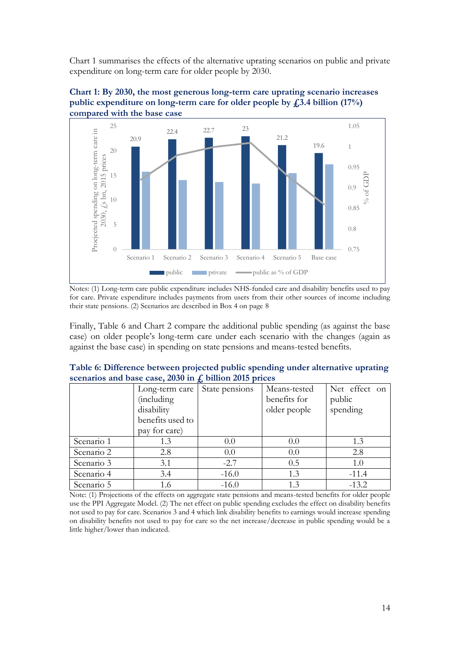Chart 1 summarises the effects of the alternative uprating scenarios on public and private expenditure on long-term care for older people by 2030.





Notes: (1) Long-term care public expenditure includes NHS-funded care and disability benefits used to pay for care. Private expenditure includes payments from users from their other sources of income including their state pensions. (2) Scenarios are described in Box 4 on page 8

public private  $\longrightarrow$  public as % of GDP

Finally, Table 6 and Chart 2 compare the additional public spending (as against the base case) on older people's long-term care under each scenario with the changes (again as against the base case) in spending on state pensions and means-tested benefits.

| Table 6: Difference between projected public spending under alternative uprating |  |
|----------------------------------------------------------------------------------|--|
| scenarios and base case, 2030 in $\ddot{f}$ , billion 2015 prices                |  |

|            | Long-term care   | State pensions | Means-tested | Net effect on |
|------------|------------------|----------------|--------------|---------------|
|            | (including       |                | benefits for | public        |
|            | disability       |                | older people | spending      |
|            | benefits used to |                |              |               |
|            | pay for care)    |                |              |               |
| Scenario 1 | 1.3              | 0.0            | 0.0          | 1.3           |
| Scenario 2 | 2.8              | 0.0            | 0.0          | 2.8           |
| Scenario 3 | 3.1              | $-2.7$         | 0.5          | 1.0           |
| Scenario 4 | 3.4              | $-16.0$        | 1.3          | $-11.4$       |
| Scenario 5 | 1.6              | $-16.0$        | 13           | $-13.2$       |

Note: (1) Projections of the effects on aggregate state pensions and means-tested benefits for older people use the PPI Aggregate Model. (2) The net effect on public spending excludes the effect on disability benefits not used to pay for care. Scenarios 3 and 4 which link disability benefits to earnings would increase spending on disability benefits not used to pay for care so the net increase/decrease in public spending would be a little higher/lower than indicated.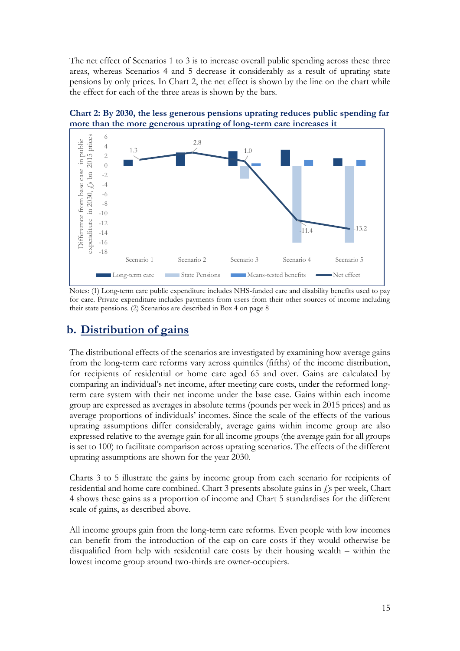The net effect of Scenarios 1 to 3 is to increase overall public spending across these three areas, whereas Scenarios 4 and 5 decrease it considerably as a result of uprating state pensions by only prices. In Chart 2, the net effect is shown by the line on the chart while the effect for each of the three areas is shown by the bars.



**Chart 2: By 2030, the less generous pensions uprating reduces public spending far more than the more generous uprating of long-term care increases it**

Notes: (1) Long-term care public expenditure includes NHS-funded care and disability benefits used to pay for care. Private expenditure includes payments from users from their other sources of income including their state pensions. (2) Scenarios are described in Box 4 on page 8

# **b. Distribution of gains**

The distributional effects of the scenarios are investigated by examining how average gains from the long-term care reforms vary across quintiles (fifths) of the income distribution, for recipients of residential or home care aged 65 and over. Gains are calculated by comparing an individual's net income, after meeting care costs, under the reformed longterm care system with their net income under the base case. Gains within each income group are expressed as averages in absolute terms (pounds per week in 2015 prices) and as average proportions of individuals' incomes. Since the scale of the effects of the various uprating assumptions differ considerably, average gains within income group are also expressed relative to the average gain for all income groups (the average gain for all groups is set to 100) to facilitate comparison across uprating scenarios. The effects of the different uprating assumptions are shown for the year 2030.

Charts 3 to 5 illustrate the gains by income group from each scenario for recipients of residential and home care combined. Chart 3 presents absolute gains in  $\ell$ s per week, Chart 4 shows these gains as a proportion of income and Chart 5 standardises for the different scale of gains, as described above.

All income groups gain from the long-term care reforms. Even people with low incomes can benefit from the introduction of the cap on care costs if they would otherwise be disqualified from help with residential care costs by their housing wealth – within the lowest income group around two-thirds are owner-occupiers.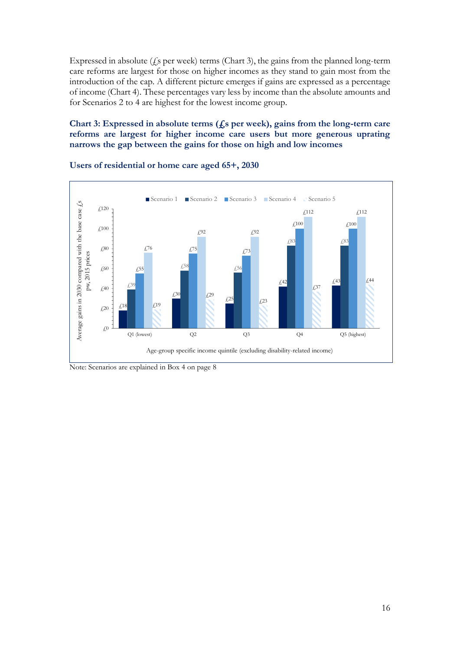Expressed in absolute  $(f_s$  per week) terms (Chart 3), the gains from the planned long-term care reforms are largest for those on higher incomes as they stand to gain most from the introduction of the cap. A different picture emerges if gains are expressed as a percentage of income (Chart 4). These percentages vary less by income than the absolute amounts and for Scenarios 2 to 4 are highest for the lowest income group.

### **Chart 3: Expressed in absolute terms (£s per week), gains from the long-term care reforms are largest for higher income care users but more generous uprating narrows the gap between the gains for those on high and low incomes**



#### **Users of residential or home care aged 65+, 2030**

Note: Scenarios are explained in Box 4 on page 8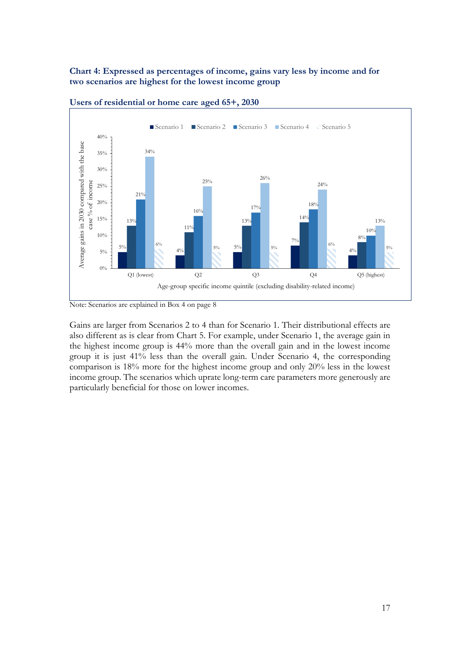### **Chart 4: Expressed as percentages of income, gains vary less by income and for two scenarios are highest for the lowest income group**



**Users of residential or home care aged 65+, 2030**

Note: Scenarios are explained in Box 4 on page 8

Gains are larger from Scenarios 2 to 4 than for Scenario 1. Their distributional effects are also different as is clear from Chart 5. For example, under Scenario 1, the average gain in the highest income group is 44% more than the overall gain and in the lowest income group it is just 41% less than the overall gain. Under Scenario 4, the corresponding comparison is 18% more for the highest income group and only 20% less in the lowest income group. The scenarios which uprate long-term care parameters more generously are particularly beneficial for those on lower incomes.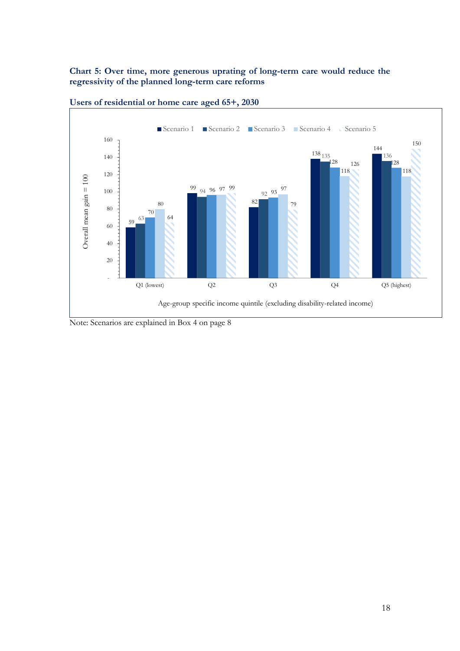### **Chart 5: Over time, more generous uprating of long-term care would reduce the regressivity of the planned long-term care reforms**





Note: Scenarios are explained in Box 4 on page 8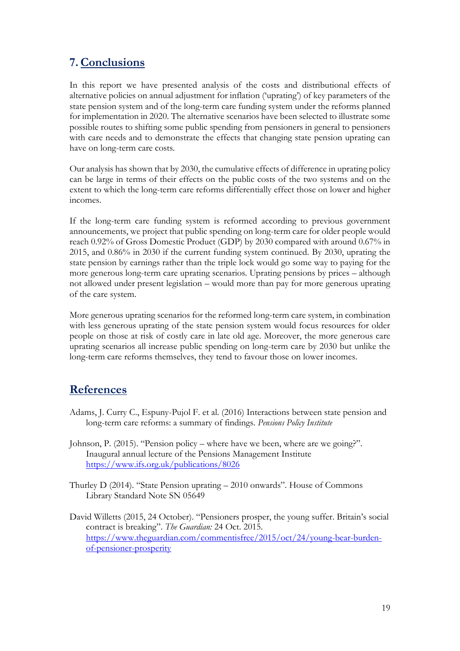# **7.Conclusions**

In this report we have presented analysis of the costs and distributional effects of alternative policies on annual adjustment for inflation ('uprating') of key parameters of the state pension system and of the long-term care funding system under the reforms planned for implementation in 2020. The alternative scenarios have been selected to illustrate some possible routes to shifting some public spending from pensioners in general to pensioners with care needs and to demonstrate the effects that changing state pension uprating can have on long-term care costs.

Our analysis has shown that by 2030, the cumulative effects of difference in uprating policy can be large in terms of their effects on the public costs of the two systems and on the extent to which the long-term care reforms differentially effect those on lower and higher incomes.

If the long-term care funding system is reformed according to previous government announcements, we project that public spending on long-term care for older people would reach 0.92% of Gross Domestic Product (GDP) by 2030 compared with around 0.67% in 2015, and 0.86% in 2030 if the current funding system continued. By 2030, uprating the state pension by earnings rather than the triple lock would go some way to paying for the more generous long-term care uprating scenarios. Uprating pensions by prices – although not allowed under present legislation – would more than pay for more generous uprating of the care system.

More generous uprating scenarios for the reformed long-term care system, in combination with less generous uprating of the state pension system would focus resources for older people on those at risk of costly care in late old age. Moreover, the more generous care uprating scenarios all increase public spending on long-term care by 2030 but unlike the long-term care reforms themselves, they tend to favour those on lower incomes.

### **References**

- Adams, J. Curry C., Espuny-Pujol F. et al. (2016) Interactions between state pension and long-term care reforms: a summary of findings. *Pensions Policy Institute*
- Johnson, P. (2015). "Pension policy where have we been, where are we going?". Inaugural annual lecture of the Pensions Management Institute <https://www.ifs.org.uk/publications/8026>
- Thurley D (2014). "State Pension uprating 2010 onwards". House of Commons Library Standard Note SN 05649
- David Willetts (2015, 24 October). "Pensioners prosper, the young suffer. Britain's social contract is breaking". *The Guardian:* 24 Oct. 2015. [https://www.theguardian.com/commentisfree/2015/oct/24/young-bear-burden](https://www.theguardian.com/commentisfree/2015/oct/24/young-bear-burden-of-pensioner-prosperity)[of-pensioner-prosperity](https://www.theguardian.com/commentisfree/2015/oct/24/young-bear-burden-of-pensioner-prosperity)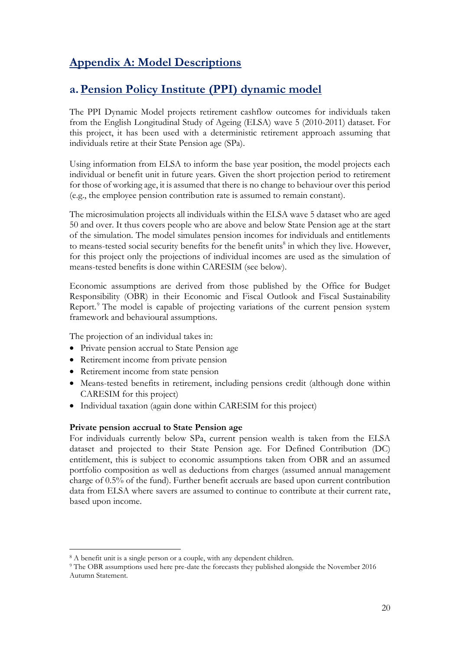# **Appendix A: Model Descriptions**

# **a.Pension Policy Institute (PPI) dynamic model**

The PPI Dynamic Model projects retirement cashflow outcomes for individuals taken from the English Longitudinal Study of Ageing (ELSA) wave 5 (2010-2011) dataset. For this project, it has been used with a deterministic retirement approach assuming that individuals retire at their State Pension age (SPa).

Using information from ELSA to inform the base year position, the model projects each individual or benefit unit in future years. Given the short projection period to retirement for those of working age, it is assumed that there is no change to behaviour over this period (e.g., the employee pension contribution rate is assumed to remain constant).

The microsimulation projects all individuals within the ELSA wave 5 dataset who are aged 50 and over. It thus covers people who are above and below State Pension age at the start of the simulation. The model simulates pension incomes for individuals and entitlements to means-tested social security benefits for the benefit units<sup>8</sup> in which they live. However, for this project only the projections of individual incomes are used as the simulation of means-tested benefits is done within CARESIM (see below).

Economic assumptions are derived from those published by the Office for Budget Responsibility (OBR) in their Economic and Fiscal Outlook and Fiscal Sustainability Report. <sup>9</sup> The model is capable of projecting variations of the current pension system framework and behavioural assumptions.

The projection of an individual takes in:

- Private pension accrual to State Pension age
- Retirement income from private pension
- Retirement income from state pension

-

- Means-tested benefits in retirement, including pensions credit (although done within CARESIM for this project)
- Individual taxation (again done within CARESIM for this project)

### **Private pension accrual to State Pension age**

For individuals currently below SPa, current pension wealth is taken from the ELSA dataset and projected to their State Pension age. For Defined Contribution (DC) entitlement, this is subject to economic assumptions taken from OBR and an assumed portfolio composition as well as deductions from charges (assumed annual management charge of 0.5% of the fund). Further benefit accruals are based upon current contribution data from ELSA where savers are assumed to continue to contribute at their current rate, based upon income.

<sup>8</sup> A benefit unit is a single person or a couple, with any dependent children.

<sup>9</sup> The OBR assumptions used here pre-date the forecasts they published alongside the November 2016 Autumn Statement.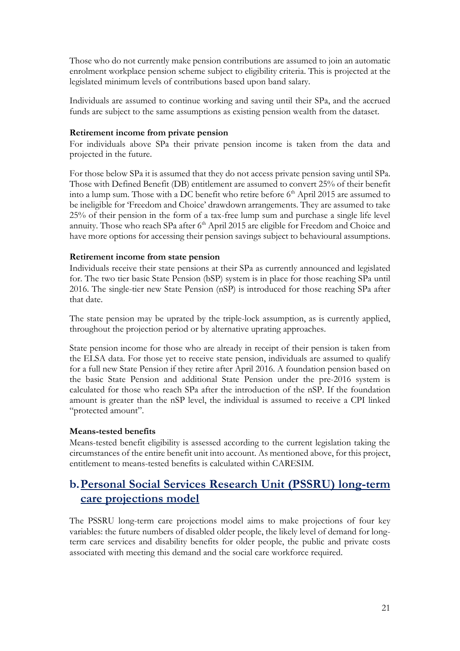Those who do not currently make pension contributions are assumed to join an automatic enrolment workplace pension scheme subject to eligibility criteria. This is projected at the legislated minimum levels of contributions based upon band salary.

Individuals are assumed to continue working and saving until their SPa, and the accrued funds are subject to the same assumptions as existing pension wealth from the dataset.

### **Retirement income from private pension**

For individuals above SPa their private pension income is taken from the data and projected in the future.

For those below SPa it is assumed that they do not access private pension saving until SPa. Those with Defined Benefit (DB) entitlement are assumed to convert 25% of their benefit into a lump sum. Those with a DC benefit who retire before 6<sup>th</sup> April 2015 are assumed to be ineligible for 'Freedom and Choice' drawdown arrangements. They are assumed to take 25% of their pension in the form of a tax-free lump sum and purchase a single life level annuity. Those who reach SPa after 6<sup>th</sup> April 2015 are eligible for Freedom and Choice and have more options for accessing their pension savings subject to behavioural assumptions.

#### **Retirement income from state pension**

Individuals receive their state pensions at their SPa as currently announced and legislated for. The two tier basic State Pension (bSP) system is in place for those reaching SPa until 2016. The single-tier new State Pension (nSP) is introduced for those reaching SPa after that date.

The state pension may be uprated by the triple-lock assumption, as is currently applied, throughout the projection period or by alternative uprating approaches.

State pension income for those who are already in receipt of their pension is taken from the ELSA data. For those yet to receive state pension, individuals are assumed to qualify for a full new State Pension if they retire after April 2016. A foundation pension based on the basic State Pension and additional State Pension under the pre-2016 system is calculated for those who reach SPa after the introduction of the nSP. If the foundation amount is greater than the nSP level, the individual is assumed to receive a CPI linked "protected amount".

#### **Means-tested benefits**

Means-tested benefit eligibility is assessed according to the current legislation taking the circumstances of the entire benefit unit into account. As mentioned above, for this project, entitlement to means-tested benefits is calculated within CARESIM.

### **b.Personal Social Services Research Unit (PSSRU) long-term care projections model**

The PSSRU long-term care projections model aims to make projections of four key variables: the future numbers of disabled older people, the likely level of demand for longterm care services and disability benefits for older people, the public and private costs associated with meeting this demand and the social care workforce required.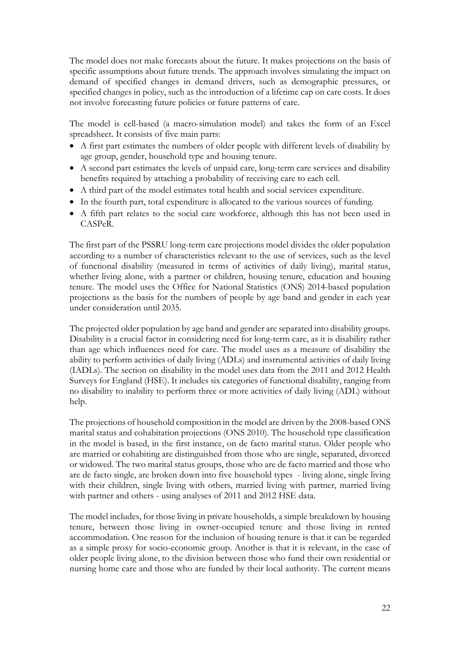The model does not make forecasts about the future. It makes projections on the basis of specific assumptions about future trends. The approach involves simulating the impact on demand of specified changes in demand drivers, such as demographic pressures, or specified changes in policy, such as the introduction of a lifetime cap on care costs. It does not involve forecasting future policies or future patterns of care.

The model is cell-based (a macro-simulation model) and takes the form of an Excel spreadsheet. It consists of five main parts:

- A first part estimates the numbers of older people with different levels of disability by age group, gender, household type and housing tenure.
- A second part estimates the levels of unpaid care, long-term care services and disability benefits required by attaching a probability of receiving care to each cell.
- A third part of the model estimates total health and social services expenditure.
- In the fourth part, total expenditure is allocated to the various sources of funding.
- A fifth part relates to the social care workforce, although this has not been used in CASPeR.

The first part of the PSSRU long-term care projections model divides the older population according to a number of characteristics relevant to the use of services, such as the level of functional disability (measured in terms of activities of daily living), marital status, whether living alone, with a partner or children, housing tenure, education and housing tenure. The model uses the Office for National Statistics (ONS) 2014-based population projections as the basis for the numbers of people by age band and gender in each year under consideration until 2035.

The projected older population by age band and gender are separated into disability groups. Disability is a crucial factor in considering need for long-term care, as it is disability rather than age which influences need for care. The model uses as a measure of disability the ability to perform activities of daily living (ADLs) and instrumental activities of daily living (IADLs). The section on disability in the model uses data from the 2011 and 2012 Health Surveys for England (HSE). It includes six categories of functional disability, ranging from no disability to inability to perform three or more activities of daily living (ADL) without help.

The projections of household composition in the model are driven by the 2008-based ONS marital status and cohabitation projections (ONS 2010). The household type classification in the model is based, in the first instance, on de facto marital status. Older people who are married or cohabiting are distinguished from those who are single, separated, divorced or widowed. The two marital status groups, those who are de facto married and those who are de facto single, are broken down into five household types - living alone, single living with their children, single living with others, married living with partner, married living with partner and others - using analyses of 2011 and 2012 HSE data.

The model includes, for those living in private households, a simple breakdown by housing tenure, between those living in owner-occupied tenure and those living in rented accommodation. One reason for the inclusion of housing tenure is that it can be regarded as a simple proxy for socio-economic group. Another is that it is relevant, in the case of older people living alone, to the division between those who fund their own residential or nursing home care and those who are funded by their local authority. The current means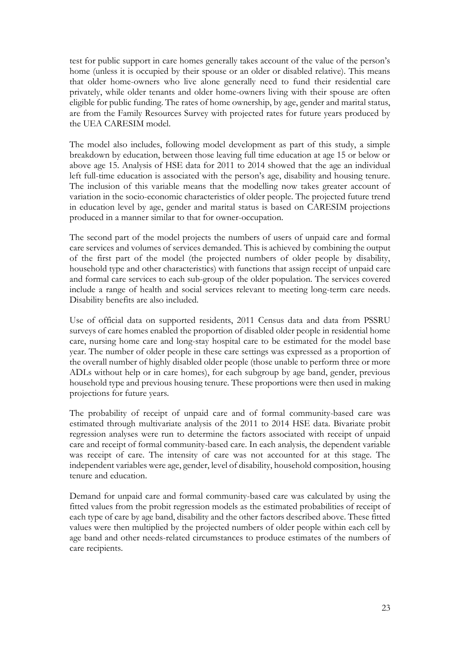test for public support in care homes generally takes account of the value of the person's home (unless it is occupied by their spouse or an older or disabled relative). This means that older home-owners who live alone generally need to fund their residential care privately, while older tenants and older home-owners living with their spouse are often eligible for public funding. The rates of home ownership, by age, gender and marital status, are from the Family Resources Survey with projected rates for future years produced by the UEA CARESIM model.

The model also includes, following model development as part of this study, a simple breakdown by education, between those leaving full time education at age 15 or below or above age 15. Analysis of HSE data for 2011 to 2014 showed that the age an individual left full-time education is associated with the person's age, disability and housing tenure. The inclusion of this variable means that the modelling now takes greater account of variation in the socio-economic characteristics of older people. The projected future trend in education level by age, gender and marital status is based on CARESIM projections produced in a manner similar to that for owner-occupation.

The second part of the model projects the numbers of users of unpaid care and formal care services and volumes of services demanded. This is achieved by combining the output of the first part of the model (the projected numbers of older people by disability, household type and other characteristics) with functions that assign receipt of unpaid care and formal care services to each sub-group of the older population. The services covered include a range of health and social services relevant to meeting long-term care needs. Disability benefits are also included.

Use of official data on supported residents, 2011 Census data and data from PSSRU surveys of care homes enabled the proportion of disabled older people in residential home care, nursing home care and long-stay hospital care to be estimated for the model base year. The number of older people in these care settings was expressed as a proportion of the overall number of highly disabled older people (those unable to perform three or more ADLs without help or in care homes), for each subgroup by age band, gender, previous household type and previous housing tenure. These proportions were then used in making projections for future years.

The probability of receipt of unpaid care and of formal community-based care was estimated through multivariate analysis of the 2011 to 2014 HSE data. Bivariate probit regression analyses were run to determine the factors associated with receipt of unpaid care and receipt of formal community-based care. In each analysis, the dependent variable was receipt of care. The intensity of care was not accounted for at this stage. The independent variables were age, gender, level of disability, household composition, housing tenure and education.

Demand for unpaid care and formal community-based care was calculated by using the fitted values from the probit regression models as the estimated probabilities of receipt of each type of care by age band, disability and the other factors described above. These fitted values were then multiplied by the projected numbers of older people within each cell by age band and other needs-related circumstances to produce estimates of the numbers of care recipients.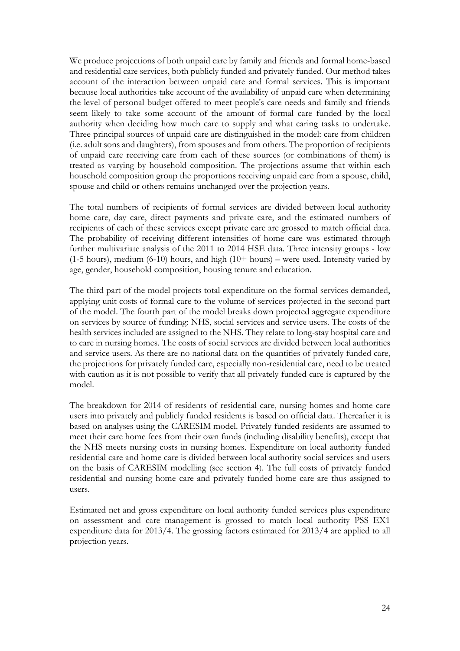We produce projections of both unpaid care by family and friends and formal home-based and residential care services, both publicly funded and privately funded. Our method takes account of the interaction between unpaid care and formal services. This is important because local authorities take account of the availability of unpaid care when determining the level of personal budget offered to meet people's care needs and family and friends seem likely to take some account of the amount of formal care funded by the local authority when deciding how much care to supply and what caring tasks to undertake. Three principal sources of unpaid care are distinguished in the model: care from children (i.e. adult sons and daughters), from spouses and from others. The proportion of recipients of unpaid care receiving care from each of these sources (or combinations of them) is treated as varying by household composition. The projections assume that within each household composition group the proportions receiving unpaid care from a spouse, child, spouse and child or others remains unchanged over the projection years.

The total numbers of recipients of formal services are divided between local authority home care, day care, direct payments and private care, and the estimated numbers of recipients of each of these services except private care are grossed to match official data. The probability of receiving different intensities of home care was estimated through further multivariate analysis of the 2011 to 2014 HSE data. Three intensity groups - low  $(1-5$  hours), medium  $(6-10)$  hours, and high  $(10+$  hours) – were used. Intensity varied by age, gender, household composition, housing tenure and education.

The third part of the model projects total expenditure on the formal services demanded, applying unit costs of formal care to the volume of services projected in the second part of the model. The fourth part of the model breaks down projected aggregate expenditure on services by source of funding: NHS, social services and service users. The costs of the health services included are assigned to the NHS. They relate to long-stay hospital care and to care in nursing homes. The costs of social services are divided between local authorities and service users. As there are no national data on the quantities of privately funded care, the projections for privately funded care, especially non-residential care, need to be treated with caution as it is not possible to verify that all privately funded care is captured by the model.

The breakdown for 2014 of residents of residential care, nursing homes and home care users into privately and publicly funded residents is based on official data. Thereafter it is based on analyses using the CARESIM model. Privately funded residents are assumed to meet their care home fees from their own funds (including disability benefits), except that the NHS meets nursing costs in nursing homes. Expenditure on local authority funded residential care and home care is divided between local authority social services and users on the basis of CARESIM modelling (see section 4). The full costs of privately funded residential and nursing home care and privately funded home care are thus assigned to users.

Estimated net and gross expenditure on local authority funded services plus expenditure on assessment and care management is grossed to match local authority PSS EX1 expenditure data for 2013/4. The grossing factors estimated for 2013/4 are applied to all projection years.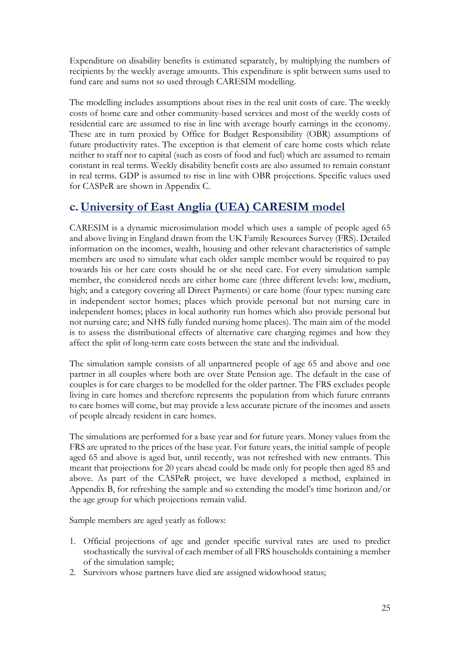Expenditure on disability benefits is estimated separately, by multiplying the numbers of recipients by the weekly average amounts. This expenditure is split between sums used to fund care and sums not so used through CARESIM modelling.

The modelling includes assumptions about rises in the real unit costs of care. The weekly costs of home care and other community-based services and most of the weekly costs of residential care are assumed to rise in line with average hourly earnings in the economy. These are in turn proxied by Office for Budget Responsibility (OBR) assumptions of future productivity rates. The exception is that element of care home costs which relate neither to staff nor to capital (such as costs of food and fuel) which are assumed to remain constant in real terms. Weekly disability benefit costs are also assumed to remain constant in real terms. GDP is assumed to rise in line with OBR projections. Specific values used for CASPeR are shown in Appendix C.

# **c. University of East Anglia (UEA) CARESIM model**

CARESIM is a dynamic microsimulation model which uses a sample of people aged 65 and above living in England drawn from the UK Family Resources Survey (FRS). Detailed information on the incomes, wealth, housing and other relevant characteristics of sample members are used to simulate what each older sample member would be required to pay towards his or her care costs should he or she need care. For every simulation sample member, the considered needs are either home care (three different levels: low, medium, high; and a category covering all Direct Payments) or care home (four types: nursing care in independent sector homes; places which provide personal but not nursing care in independent homes; places in local authority run homes which also provide personal but not nursing care; and NHS fully funded nursing home places). The main aim of the model is to assess the distributional effects of alternative care charging regimes and how they affect the split of long-term care costs between the state and the individual.

The simulation sample consists of all unpartnered people of age 65 and above and one partner in all couples where both are over State Pension age. The default in the case of couples is for care charges to be modelled for the older partner. The FRS excludes people living in care homes and therefore represents the population from which future entrants to care homes will come, but may provide a less accurate picture of the incomes and assets of people already resident in care homes.

The simulations are performed for a base year and for future years. Money values from the FRS are uprated to the prices of the base year. For future years, the initial sample of people aged 65 and above is aged but, until recently, was not refreshed with new entrants. This meant that projections for 20 years ahead could be made only for people then aged 85 and above. As part of the CASPeR project, we have developed a method, explained in Appendix B, for refreshing the sample and so extending the model's time horizon and/or the age group for which projections remain valid.

Sample members are aged yearly as follows:

- 1. Official projections of age and gender specific survival rates are used to predict stochastically the survival of each member of all FRS households containing a member of the simulation sample;
- 2. Survivors whose partners have died are assigned widowhood status;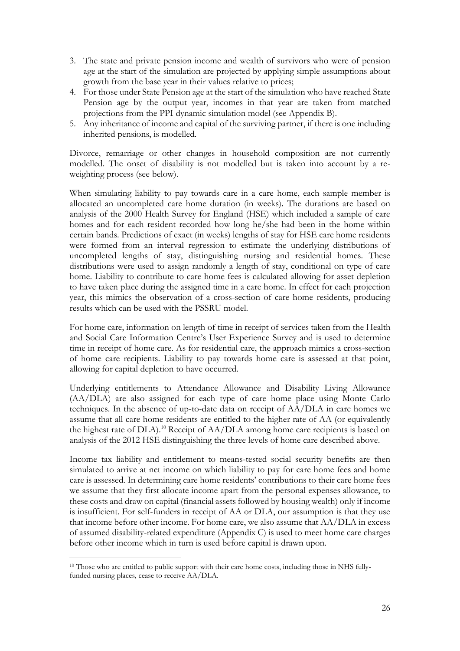- 3. The state and private pension income and wealth of survivors who were of pension age at the start of the simulation are projected by applying simple assumptions about growth from the base year in their values relative to prices;
- 4. For those under State Pension age at the start of the simulation who have reached State Pension age by the output year, incomes in that year are taken from matched projections from the PPI dynamic simulation model (see Appendix B).
- 5. Any inheritance of income and capital of the surviving partner, if there is one including inherited pensions, is modelled.

Divorce, remarriage or other changes in household composition are not currently modelled. The onset of disability is not modelled but is taken into account by a reweighting process (see below).

When simulating liability to pay towards care in a care home, each sample member is allocated an uncompleted care home duration (in weeks). The durations are based on analysis of the 2000 Health Survey for England (HSE) which included a sample of care homes and for each resident recorded how long he/she had been in the home within certain bands. Predictions of exact (in weeks) lengths of stay for HSE care home residents were formed from an interval regression to estimate the underlying distributions of uncompleted lengths of stay, distinguishing nursing and residential homes. These distributions were used to assign randomly a length of stay, conditional on type of care home. Liability to contribute to care home fees is calculated allowing for asset depletion to have taken place during the assigned time in a care home. In effect for each projection year, this mimics the observation of a cross-section of care home residents, producing results which can be used with the PSSRU model.

For home care, information on length of time in receipt of services taken from the Health and Social Care Information Centre's User Experience Survey and is used to determine time in receipt of home care. As for residential care, the approach mimics a cross-section of home care recipients. Liability to pay towards home care is assessed at that point, allowing for capital depletion to have occurred.

Underlying entitlements to Attendance Allowance and Disability Living Allowance (AA/DLA) are also assigned for each type of care home place using Monte Carlo techniques. In the absence of up-to-date data on receipt of AA/DLA in care homes we assume that all care home residents are entitled to the higher rate of AA (or equivalently the highest rate of DLA). <sup>10</sup> Receipt of AA/DLA among home care recipients is based on analysis of the 2012 HSE distinguishing the three levels of home care described above.

Income tax liability and entitlement to means-tested social security benefits are then simulated to arrive at net income on which liability to pay for care home fees and home care is assessed. In determining care home residents' contributions to their care home fees we assume that they first allocate income apart from the personal expenses allowance, to these costs and draw on capital (financial assets followed by housing wealth) only if income is insufficient. For self-funders in receipt of AA or DLA, our assumption is that they use that income before other income. For home care, we also assume that AA/DLA in excess of assumed disability-related expenditure (Appendix C) is used to meet home care charges before other income which in turn is used before capital is drawn upon.

-

<sup>&</sup>lt;sup>10</sup> Those who are entitled to public support with their care home costs, including those in NHS fullyfunded nursing places, cease to receive AA/DLA.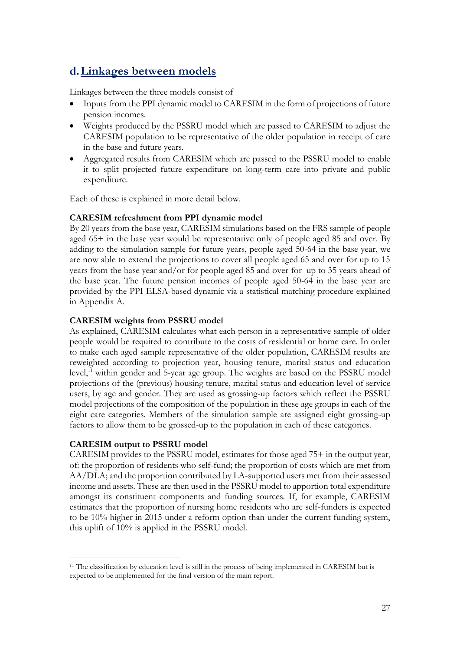## **d.Linkages between models**

Linkages between the three models consist of

- Inputs from the PPI dynamic model to CARESIM in the form of projections of future pension incomes.
- Weights produced by the PSSRU model which are passed to CARESIM to adjust the CARESIM population to be representative of the older population in receipt of care in the base and future years.
- Aggregated results from CARESIM which are passed to the PSSRU model to enable it to split projected future expenditure on long-term care into private and public expenditure.

Each of these is explained in more detail below.

### **CARESIM refreshment from PPI dynamic model**

By 20 years from the base year, CARESIM simulations based on the FRS sample of people aged 65+ in the base year would be representative only of people aged 85 and over. By adding to the simulation sample for future years, people aged 50-64 in the base year, we are now able to extend the projections to cover all people aged 65 and over for up to 15 years from the base year and/or for people aged 85 and over for up to 35 years ahead of the base year. The future pension incomes of people aged 50-64 in the base year are provided by the PPI ELSA-based dynamic via a statistical matching procedure explained in Appendix A.

### **CARESIM weights from PSSRU model**

As explained, CARESIM calculates what each person in a representative sample of older people would be required to contribute to the costs of residential or home care. In order to make each aged sample representative of the older population, CARESIM results are reweighted according to projection year, housing tenure, marital status and education level,<sup>11</sup> within gender and 5-year age group. The weights are based on the PSSRU model projections of the (previous) housing tenure, marital status and education level of service users, by age and gender. They are used as grossing-up factors which reflect the PSSRU model projections of the composition of the population in these age groups in each of the eight care categories. Members of the simulation sample are assigned eight grossing-up factors to allow them to be grossed-up to the population in each of these categories.

### **CARESIM output to PSSRU model**

-

CARESIM provides to the PSSRU model, estimates for those aged 75+ in the output year, of: the proportion of residents who self-fund; the proportion of costs which are met from AA/DLA; and the proportion contributed by LA-supported users met from their assessed income and assets. These are then used in the PSSRU model to apportion total expenditure amongst its constituent components and funding sources. If, for example, CARESIM estimates that the proportion of nursing home residents who are self-funders is expected to be 10% higher in 2015 under a reform option than under the current funding system, this uplift of 10% is applied in the PSSRU model.

<sup>&</sup>lt;sup>11</sup> The classification by education level is still in the process of being implemented in CARESIM but is expected to be implemented for the final version of the main report.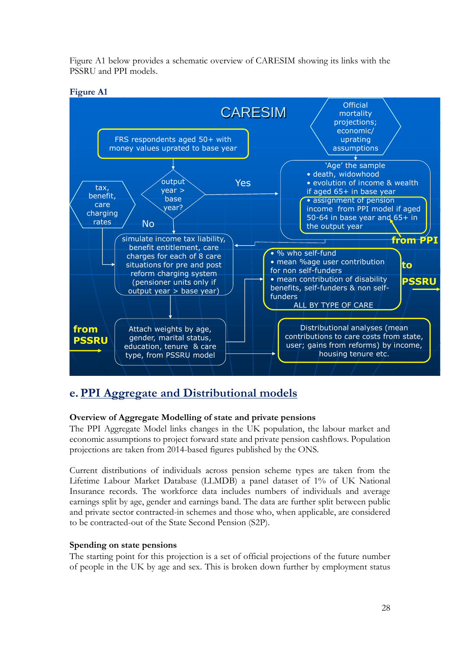Figure A1 below provides a schematic overview of CARESIM showing its links with the PSSRU and PPI models.



## **e. PPI Aggregate and Distributional models**

### **Overview of Aggregate Modelling of state and private pensions**

The PPI Aggregate Model links changes in the UK population, the labour market and economic assumptions to project forward state and private pension cashflows. Population projections are taken from 2014-based figures published by the ONS.

Current distributions of individuals across pension scheme types are taken from the Lifetime Labour Market Database (LLMDB) a panel dataset of 1% of UK National Insurance records. The workforce data includes numbers of individuals and average earnings split by age, gender and earnings band. The data are further split between public and private sector contracted-in schemes and those who, when applicable, are considered to be contracted-out of the State Second Pension (S2P).

### **Spending on state pensions**

The starting point for this projection is a set of official projections of the future number of people in the UK by age and sex. This is broken down further by employment status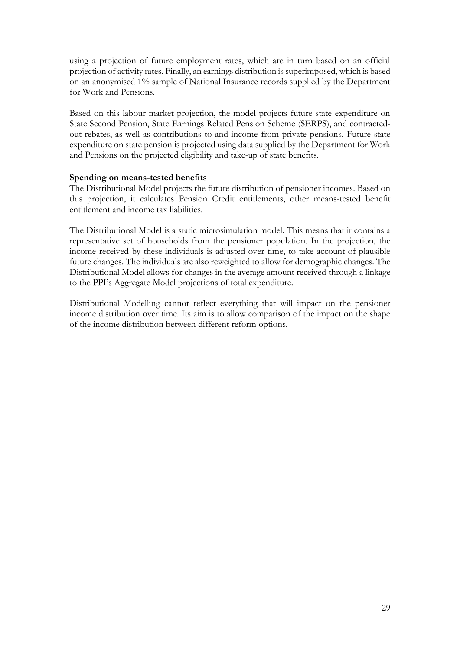using a projection of future employment rates, which are in turn based on an official projection of activity rates. Finally, an earnings distribution is superimposed, which is based on an anonymised 1% sample of National Insurance records supplied by the Department for Work and Pensions.

Based on this labour market projection, the model projects future state expenditure on State Second Pension, State Earnings Related Pension Scheme (SERPS), and contractedout rebates, as well as contributions to and income from private pensions. Future state expenditure on state pension is projected using data supplied by the Department for Work and Pensions on the projected eligibility and take-up of state benefits.

### **Spending on means-tested benefits**

The Distributional Model projects the future distribution of pensioner incomes. Based on this projection, it calculates Pension Credit entitlements, other means-tested benefit entitlement and income tax liabilities.

The Distributional Model is a static microsimulation model. This means that it contains a representative set of households from the pensioner population. In the projection, the income received by these individuals is adjusted over time, to take account of plausible future changes. The individuals are also reweighted to allow for demographic changes. The Distributional Model allows for changes in the average amount received through a linkage to the PPI's Aggregate Model projections of total expenditure.

Distributional Modelling cannot reflect everything that will impact on the pensioner income distribution over time. Its aim is to allow comparison of the impact on the shape of the income distribution between different reform options.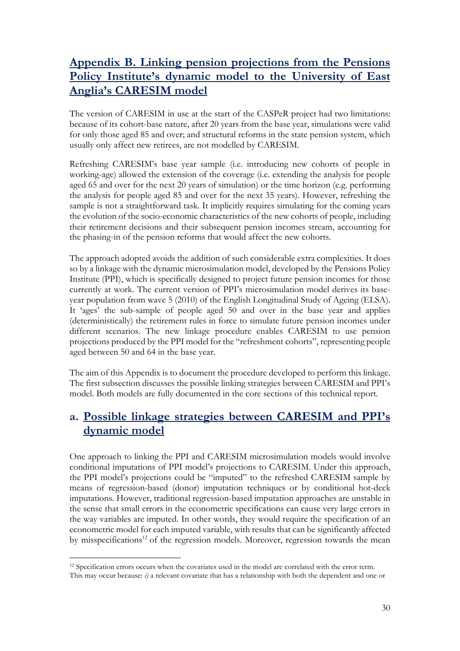# **Appendix B. Linking pension projections from the Pensions Policy Institute's dynamic model to the University of East Anglia's CARESIM model**

The version of CARESIM in use at the start of the CASPeR project had two limitations: because of its cohort-base nature, after 20 years from the base year, simulations were valid for only those aged 85 and over; and structural reforms in the state pension system, which usually only affect new retirees, are not modelled by CARESIM.

Refreshing CARESIM's base year sample (i.e. introducing new cohorts of people in working-age) allowed the extension of the coverage (i.e. extending the analysis for people aged 65 and over for the next 20 years of simulation) or the time horizon (e.g. performing the analysis for people aged 85 and over for the next 35 years). However, refreshing the sample is not a straightforward task. It implicitly requires simulating for the coming years the evolution of the socio-economic characteristics of the new cohorts of people, including their retirement decisions and their subsequent pension incomes stream, accounting for the phasing-in of the pension reforms that would affect the new cohorts.

The approach adopted avoids the addition of such considerable extra complexities. It does so by a linkage with the dynamic microsimulation model, developed by the Pensions Policy Institute (PPI), which is specifically designed to project future pension incomes for those currently at work. The current version of PPI's microsimulation model derives its baseyear population from wave 5 (2010) of the English Longitudinal Study of Ageing (ELSA). It 'ages' the sub-sample of people aged 50 and over in the base year and applies (deterministically) the retirement rules in force to simulate future pension incomes under different scenarios. The new linkage procedure enables CARESIM to use pension projections produced by the PPI model for the "refreshment cohorts", representing people aged between 50 and 64 in the base year.

The aim of this Appendix is to document the procedure developed to perform this linkage. The first subsection discusses the possible linking strategies between CARESIM and PPI's model. Both models are fully documented in the core sections of this technical report.

## **a. Possible linkage strategies between CARESIM and PPI's dynamic model**

One approach to linking the PPI and CARESIM microsimulation models would involve conditional imputations of PPI model's projections to CARESIM. Under this approach, the PPI model's projections could be "imputed" to the refreshed CARESIM sample by means of regression-based (donor) imputation techniques or by conditional hot-deck imputations. However, traditional regression-based imputation approaches are unstable in the sense that small errors in the econometric specifications can cause very large errors in the way variables are imputed. In other words, they would require the specification of an econometric model for each imputed variable, with results that can be significantly affected by misspecifications<sup>12</sup> of the regression models. Moreover, regression towards the mean

<sup>-</sup><sup>12</sup> Specification errors occurs when the covariates used in the model are correlated with the error term.

This may occur because: *i)* a relevant covariate that has a relationship with both the dependent and one or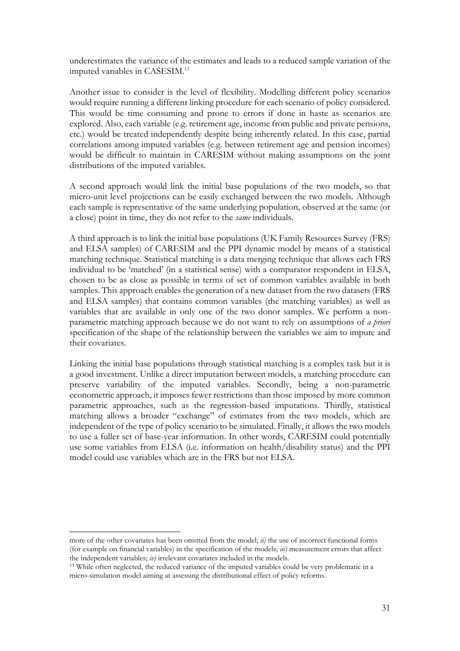underestimates the variance of the estimates and leads to a reduced sample variation of the imputed variables in CASESIM.<sup>13</sup>

Another issue to consider is the level of flexibility. Modelling different policy scenarios would require running a different linking procedure for each scenario of policy considered. This would be time consuming and prone to errors if done in haste as scenarios are explored. Also, each variable (e.g. retirement age, income from public and private pensions, etc.) would be treated independently despite being inherently related. In this case, partial correlations among imputed variables (e.g. between retirement age and pension incomes) would be difficult to maintain in CARESIM without making assumptions on the joint distributions of the imputed variables.

A second approach would link the initial base populations of the two models, so that micro-unit level projections can be easily exchanged between the two models. Although each sample is representative of the same underlying population, observed at the same (or a close) point in time, they do not refer to the *same* individuals.

A third approach is to link the initial base populations (UK Family Resources Survey (FRS) and ELSA samples) of CARESIM and the PPI dynamic model by means of a statistical matching technique. Statistical matching is a data merging technique that allows each FRS individual to be 'matched' (in a statistical sense) with a comparator respondent in ELSA, chosen to be as close as possible in terms of set of common variables available in both samples. This approach enables the generation of a new dataset from the two datasets (FRS and ELSA samples) that contains common variables (the matching variables) as well as variables that are available in only one of the two donor samples. We perform a nonparametric matching approach because we do not want to rely on assumptions of *a priori* specification of the shape of the relationship between the variables we aim to impute and their covariates.

Linking the initial base populations through statistical matching is a complex task but it is a good investment. Unlike a direct imputation between models, a matching procedure can preserve variability of the imputed variables. Secondly, being a non-parametric econometric approach, it imposes fewer restrictions than those imposed by more common parametric approaches, such as the regression-based imputations. Thirdly, statistical matching allows a broader "exchange" of estimates from the two models, which are independent of the type of policy scenario to be simulated. Finally, it allows the two models to use a fuller set of base-year information. In other words, CARESIM could potentially use some variables from ELSA (i.e. information on health/disability status) and the PPI model could use variables which are in the FRS but not ELSA.

-

more of the other covariates has been omitted from the model; *ii)* the use of incorrect functional forms (for example on financial variables) in the specification of the models; *iii)* measurement errors that affect the independent variables; *iv)* irrelevant covariates included in the models.

<sup>&</sup>lt;sup>13</sup> While often neglected, the reduced variance of the imputed variables could be very problematic in a micro-simulation model aiming at assessing the distributional effect of policy reforms.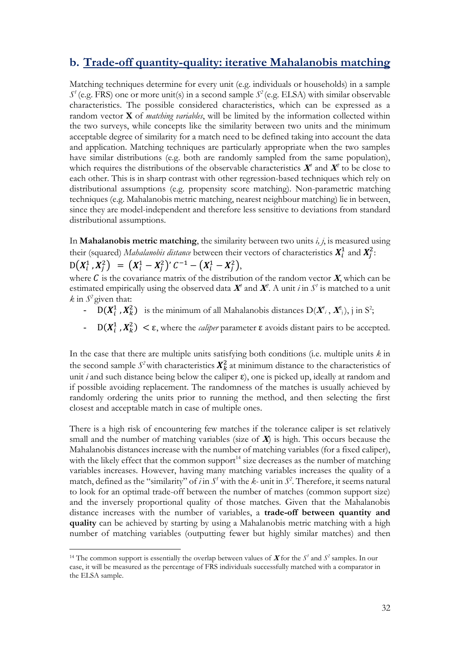### **b. Trade-off quantity-quality: iterative Mahalanobis matching**

Matching techniques determine for every unit (e.g. individuals or households) in a sample  $S'$  (e.g. FRS) one or more unit(s) in a second sample  $S^2$  (e.g. ELSA) with similar observable characteristics. The possible considered characteristics, which can be expressed as a random vector **X** of *matching variables*, will be limited by the information collected within the two surveys, while concepts like the similarity between two units and the minimum acceptable degree of similarity for a match need to be defined taking into account the data and application. Matching techniques are particularly appropriate when the two samples have similar distributions (e.g. both are randomly sampled from the same population), which requires the distributions of the observable characteristics  $X'$  and  $X^2$  to be close to each other. This is in sharp contrast with other regression-based techniques which rely on distributional assumptions (e.g. propensity score matching). Non-parametric matching techniques (e.g. Mahalanobis metric matching, nearest neighbour matching) lie in between, since they are model-independent and therefore less sensitive to deviations from standard distributional assumptions.

In **Mahalanobis metric matching**, the similarity between two units *i, j*, is measured using their (squared) *Mahalanobis distance* between their vectors of characteristics  $X_i^1$  and  $X_j^2$ :

 $D(X_i^1, X_j^2) = (X_i^1 - X_j^2)' C^{-1} - (X_i^1 - X_j^2),$ 

-

where  $\vec{C}$  is the covariance matrix of the distribution of the random vector  $\vec{X}$ , which can be estimated empirically using the observed data  $\mathbf{X}^{\prime}$  and  $\mathbf{X}^{\prime}$ . A unit *i* in  $S^{\prime}$  is matched to a unit  $k$  in  $S^2$  given that:

- $D(X_i^1, X_k^2)$  is the minimum of all Mahalanobis distances  $D(X^i, X^2)$ , j in S<sup>2</sup>;
- $-$  D( $X_i^1$ ,  $X_k^2$ )  $\lt \varepsilon$ , where the *caliper* parameter  $\varepsilon$  avoids distant pairs to be accepted.

In the case that there are multiple units satisfying both conditions (i.e. multiple units *k* in the second sample  $S^2$  with characteristics  $\mathbf{X}_k^2$  at minimum distance to the characteristics of unit *i* and such distance being below the caliper  $\varepsilon$ ), one is picked up, ideally at random and if possible avoiding replacement. The randomness of the matches is usually achieved by randomly ordering the units prior to running the method, and then selecting the first closest and acceptable match in case of multiple ones.

There is a high risk of encountering few matches if the tolerance caliper is set relatively small and the number of matching variables (size of  $\vec{X}$ ) is high. This occurs because the Mahalanobis distances increase with the number of matching variables (for a fixed caliper), with the likely effect that the common support $14$  size decreases as the number of matching variables increases. However, having many matching variables increases the quality of a match, defined as the "similarity" of *i* in  $S<sup>t</sup>$  with the *k*- unit in  $S<sup>2</sup>$ . Therefore, it seems natural to look for an optimal trade-off between the number of matches (common support size) and the inversely proportional quality of those matches. Given that the Mahalanobis distance increases with the number of variables, a **trade-off between quantity and quality** can be achieved by starting by using a Mahalanobis metric matching with a high number of matching variables (outputting fewer but highly similar matches) and then

<sup>&</sup>lt;sup>14</sup> The common support is essentially the overlap between values of **X** for the  $S'$  and  $S^2$  samples. In our case, it will be measured as the percentage of FRS individuals successfully matched with a comparator in the ELSA sample.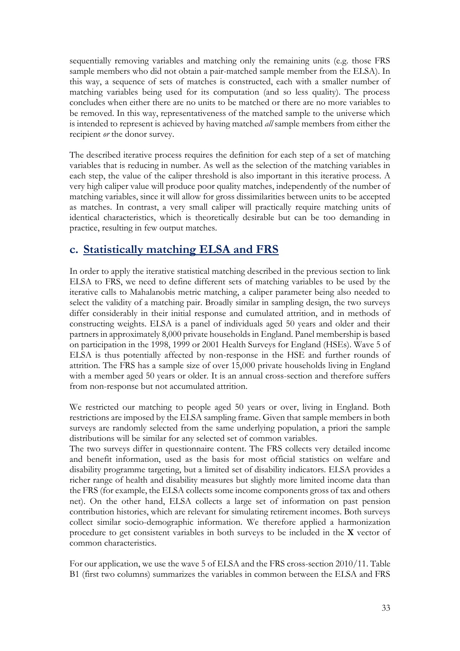sequentially removing variables and matching only the remaining units (e.g. those FRS sample members who did not obtain a pair-matched sample member from the ELSA). In this way, a sequence of sets of matches is constructed, each with a smaller number of matching variables being used for its computation (and so less quality). The process concludes when either there are no units to be matched or there are no more variables to be removed. In this way, representativeness of the matched sample to the universe which is intended to represent is achieved by having matched *all* sample members from either the recipient *or* the donor survey.

The described iterative process requires the definition for each step of a set of matching variables that is reducing in number. As well as the selection of the matching variables in each step, the value of the caliper threshold is also important in this iterative process. A very high caliper value will produce poor quality matches, independently of the number of matching variables, since it will allow for gross dissimilarities between units to be accepted as matches. In contrast, a very small caliper will practically require matching units of identical characteristics, which is theoretically desirable but can be too demanding in practice, resulting in few output matches.

## **c. Statistically matching ELSA and FRS**

In order to apply the iterative statistical matching described in the previous section to link ELSA to FRS, we need to define different sets of matching variables to be used by the iterative calls to Mahalanobis metric matching, a caliper parameter being also needed to select the validity of a matching pair. Broadly similar in sampling design, the two surveys differ considerably in their initial response and cumulated attrition, and in methods of constructing weights. ELSA is a panel of individuals aged 50 years and older and their partners in approximately 8,000 private households in England. Panel membership is based on participation in the 1998, 1999 or 2001 Health Surveys for England (HSEs). Wave 5 of ELSA is thus potentially affected by non-response in the HSE and further rounds of attrition. The FRS has a sample size of over 15,000 private households living in England with a member aged 50 years or older. It is an annual cross-section and therefore suffers from non-response but not accumulated attrition.

We restricted our matching to people aged 50 years or over, living in England. Both restrictions are imposed by the ELSA sampling frame. Given that sample members in both surveys are randomly selected from the same underlying population, a priori the sample distributions will be similar for any selected set of common variables.

The two surveys differ in questionnaire content. The FRS collects very detailed income and benefit information, used as the basis for most official statistics on welfare and disability programme targeting, but a limited set of disability indicators. ELSA provides a richer range of health and disability measures but slightly more limited income data than the FRS (for example, the ELSA collects some income components gross of tax and others net). On the other hand, ELSA collects a large set of information on past pension contribution histories, which are relevant for simulating retirement incomes. Both surveys collect similar socio-demographic information. We therefore applied a harmonization procedure to get consistent variables in both surveys to be included in the **X** vector of common characteristics.

For our application, we use the wave 5 of ELSA and the FRS cross-section 2010/11. Table B1 (first two columns) summarizes the variables in common between the ELSA and FRS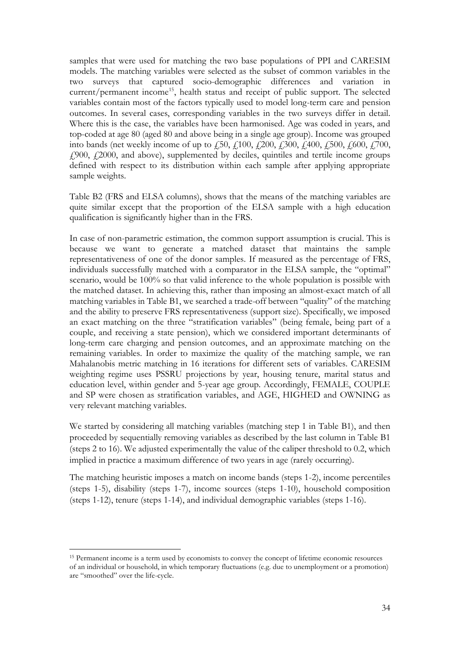samples that were used for matching the two base populations of PPI and CARESIM models. The matching variables were selected as the subset of common variables in the two surveys that captured socio-demographic differences and variation in current/permanent income<sup>15</sup>, health status and receipt of public support. The selected variables contain most of the factors typically used to model long-term care and pension outcomes. In several cases, corresponding variables in the two surveys differ in detail. Where this is the case, the variables have been harmonised. Age was coded in years, and top-coded at age 80 (aged 80 and above being in a single age group). Income was grouped into bands (net weekly income of up to  $\ddot{F}50$ ,  $\ddot{F}100$ ,  $\ddot{F}200$ ,  $\ddot{F}300$ ,  $\ddot{F}400$ ,  $\ddot{F}500$ ,  $\ddot{F}700$ , £900, £2000, and above), supplemented by deciles, quintiles and tertile income groups defined with respect to its distribution within each sample after applying appropriate sample weights.

Table B2 (FRS and ELSA columns), shows that the means of the matching variables are quite similar except that the proportion of the ELSA sample with a high education qualification is significantly higher than in the FRS.

In case of non-parametric estimation, the common support assumption is crucial. This is because we want to generate a matched dataset that maintains the sample representativeness of one of the donor samples. If measured as the percentage of FRS, individuals successfully matched with a comparator in the ELSA sample, the "optimal" scenario, would be 100% so that valid inference to the whole population is possible with the matched dataset. In achieving this, rather than imposing an almost-exact match of all matching variables in Table B1, we searched a trade-off between "quality" of the matching and the ability to preserve FRS representativeness (support size). Specifically, we imposed an exact matching on the three "stratification variables" (being female, being part of a couple, and receiving a state pension), which we considered important determinants of long-term care charging and pension outcomes, and an approximate matching on the remaining variables. In order to maximize the quality of the matching sample, we ran Mahalanobis metric matching in 16 iterations for different sets of variables. CARESIM weighting regime uses PSSRU projections by year, housing tenure, marital status and education level, within gender and 5-year age group. Accordingly, FEMALE, COUPLE and SP were chosen as stratification variables, and AGE, HIGHED and OWNING as very relevant matching variables.

We started by considering all matching variables (matching step 1 in Table B1), and then proceeded by sequentially removing variables as described by the last column in Table B1 (steps 2 to 16). We adjusted experimentally the value of the caliper threshold to 0.2, which implied in practice a maximum difference of two years in age (rarely occurring).

The matching heuristic imposes a match on income bands (steps 1-2), income percentiles (steps 1-5), disability (steps 1-7), income sources (steps 1-10), household composition (steps 1-12), tenure (steps 1-14), and individual demographic variables (steps 1-16).

-

<sup>15</sup> Permanent income is a term used by economists to convey the concept of lifetime economic resources of an individual or household, in which temporary fluctuations (e.g. due to unemployment or a promotion) are "smoothed" over the life-cycle.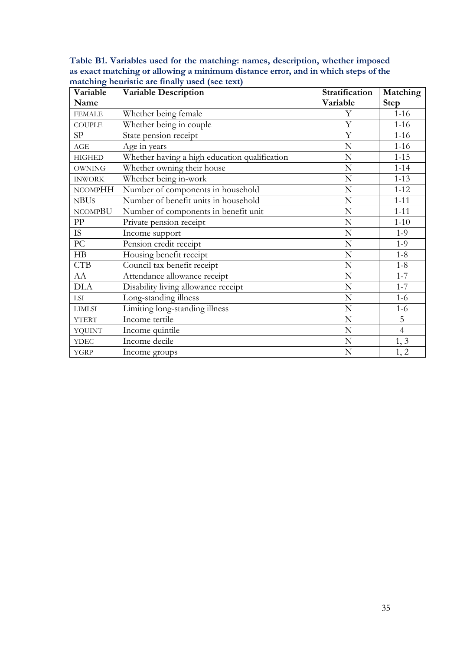**Table B1. Variables used for the matching: names, description, whether imposed as exact matching or allowing a minimum distance error, and in which steps of the matching heuristic are finally used (see text)**

| Variable       | <b>Variable Description</b>                   | Stratification | Matching       |
|----------------|-----------------------------------------------|----------------|----------------|
| Name           |                                               | Variable       | <b>Step</b>    |
| <b>FEMALE</b>  | Whether being female                          | Y              | $1 - 16$       |
| <b>COUPLE</b>  | Whether being in couple                       | Y              | $1-16$         |
| SP             | State pension receipt                         | $\mathbf Y$    | $1 - 16$       |
| $\rm{AGE}$     | Age in years                                  | N              | $1-16$         |
| <b>HIGHED</b>  | Whether having a high education qualification | $\mathbb N$    | $1 - 15$       |
| <b>OWNING</b>  | Whether owning their house                    | N              | $1 - 14$       |
| <b>INWORK</b>  | Whether being in-work                         | N              | $1 - 13$       |
| <b>NCOMPHH</b> | Number of components in household             | $\mathbf N$    | $1 - 12$       |
| NBUs           | Number of benefit units in household          | $\mathbf N$    | $1 - 11$       |
| <b>NCOMPBU</b> | Number of components in benefit unit          | $\mathbf N$    | $1 - 11$       |
| PP             | Private pension receipt                       | $\mathbf N$    | $1 - 10$       |
| IS.            | Income support                                | N              | $1-9$          |
| PC             | Pension credit receipt                        | $\mathbf N$    | $1-9$          |
| H B            | Housing benefit receipt                       | N              | $1 - 8$        |
| <b>CTB</b>     | Council tax benefit receipt                   | $\mathbf N$    | $1 - 8$        |
| AA             | Attendance allowance receipt                  | $\mathbf N$    | $1 - 7$        |
| <b>DLA</b>     | Disability living allowance receipt           | $\mathbf N$    | $1 - 7$        |
| LSI            | Long-standing illness                         | ${\bf N}$      | $1-6$          |
| <b>LIMLSI</b>  | Limiting long-standing illness                | ${\bf N}$      | $1-6$          |
| <b>YTERT</b>   | Income tertile                                | ${\bf N}$      | 5              |
| <b>YQUINT</b>  | Income quintile                               | ${\bf N}$      | $\overline{4}$ |
| <b>YDEC</b>    | Income decile                                 | ${\bf N}$      | 1, 3           |
| <b>YGRP</b>    | Income groups                                 | $\mathbf N$    | 1, 2           |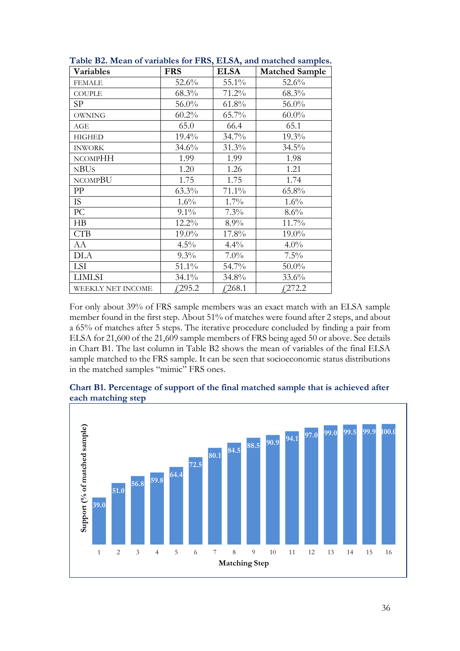| Variables         | <b>FRS</b> | <b>ELSA</b> | <b>Matched Sample</b> |
|-------------------|------------|-------------|-----------------------|
| <b>FEMALE</b>     | 52.6%      | 55.1%       | 52.6%                 |
| <b>COUPLE</b>     | 68.3%      | 71.2%       | 68.3%                 |
| <b>SP</b>         | 56.0%      | 61.8%       | 56.0%                 |
| <b>OWNING</b>     | $60.2\%$   | 65.7%       | $60.0\%$              |
| AGE               | 65.0       | 66.4        | 65.1                  |
| <b>HIGHED</b>     | 19.4%      | $34.7\%$    | 19.3%                 |
| <b>INWORK</b>     | 34.6%      | 31.3%       | 34.5%                 |
| <b>NCOMPHH</b>    | 1.99       | 1.99        | 1.98                  |
| <b>NBUS</b>       | 1.20       | 1.26        | 1.21                  |
| <b>NCOMPBU</b>    | 1.75       | 1.75        | 1.74                  |
| PP                | 63.3%      | 71.1%       | 65.8%                 |
| <b>IS</b>         | 1.6%       | $1.7\%$     | 1.6%                  |
| PC                | $9.1\%$    | $7.3\%$     | 8.6%                  |
| H B               | 12.2%      | 8.9%        | 11.7%                 |
| <b>CTB</b>        | 19.0%      | 17.8%       | 19.0%                 |
| AA                | $4.5\%$    | 4.4%        | $4.0\%$               |
| <b>DLA</b>        | $9.3\%$    | $7.0\%$     | 7.5%                  |
| LSI               | 51.1%      | 54.7%       | $50.0\%$              |
| <b>LIMLSI</b>     | 34.1%      | 34.8%       | 33.6%                 |
| WEEKLY NET INCOME | $f$ ,295.2 | £268.1      | $f$ ,272.2            |

**Table B2. Mean of variables for FRS, ELSA, and matched samples.**

For only about 39% of FRS sample members was an exact match with an ELSA sample member found in the first step. About 51% of matches were found after 2 steps, and about a 65% of matches after 5 steps. The iterative procedure concluded by finding a pair from ELSA for 21,600 of the 21,609 sample members of FRS being aged 50 or above. See details in Chart B1. The last column in Table B2 shows the mean of variables of the final ELSA sample matched to the FRS sample. It can be seen that socioeconomic status distributions in the matched samples "mimic" FRS ones.



**Chart B1. Percentage of support of the final matched sample that is achieved after each matching step**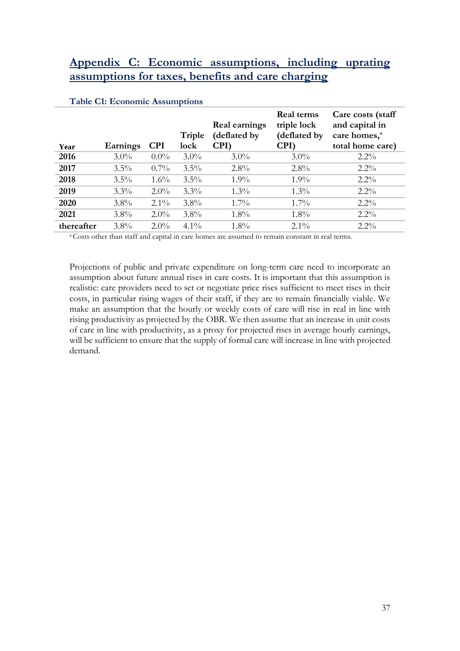## **Appendix C: Economic assumptions, including uprating assumptions for taxes, benefits and care charging**

| Year       | Earnings | <b>CPI</b> | Triple<br>lock | Real earnings<br>(deflated by<br>CPI) | Real terms<br>triple lock<br>(deflated by<br>CPI) | Care costs (staff<br>and capital in<br>care homes, <sup>a</sup><br>total home care) |
|------------|----------|------------|----------------|---------------------------------------|---------------------------------------------------|-------------------------------------------------------------------------------------|
| 2016       | $3.0\%$  | $0.0\%$    | $3.0\%$        | $3.0\%$                               | $3.0\%$                                           | $2.2\%$                                                                             |
| 2017       | $3.5\%$  | $0.7\%$    | $3.5\%$        | $2.8\%$                               | 2.8%                                              | $2.2\%$                                                                             |
| 2018       | $3.5\%$  | $1.6\%$    | $3.5\%$        | $1.9\%$                               | $1.9\%$                                           | $2.2\%$                                                                             |
| 2019       | $3.3\%$  | $2.0\%$    | $3.3\%$        | $1.3\%$                               | $1.3\%$                                           | $2.2\%$                                                                             |
| 2020       | $3.8\%$  | $2.1\%$    | $3.8\%$        | $1.7\%$                               | $1.7\%$                                           | $2.2\%$                                                                             |
| 2021       | $3.8\%$  | $2.0\%$    | $3.8\%$        | $1.8\%$                               | $1.8\%$                                           | $2.2\%$                                                                             |
| thereafter | $3.8\%$  | $2.0\%$    | $4.1\%$        | $1.8\%$                               | $2.1\%$                                           | $2.2\%$                                                                             |

#### **Table C1: Economic Assumptions**

<sup>a</sup> Costs other than staff and capital in care homes are assumed to remain constant in real terms.

Projections of public and private expenditure on long-term care need to incorporate an assumption about future annual rises in care costs. It is important that this assumption is realistic: care providers need to set or negotiate price rises sufficient to meet rises in their costs, in particular rising wages of their staff, if they are to remain financially viable. We make an assumption that the hourly or weekly costs of care will rise in real in line with rising productivity as projected by the OBR. We then assume that an increase in unit costs of care in line with productivity, as a proxy for projected rises in average hourly earnings, will be sufficient to ensure that the supply of formal care will increase in line with projected demand.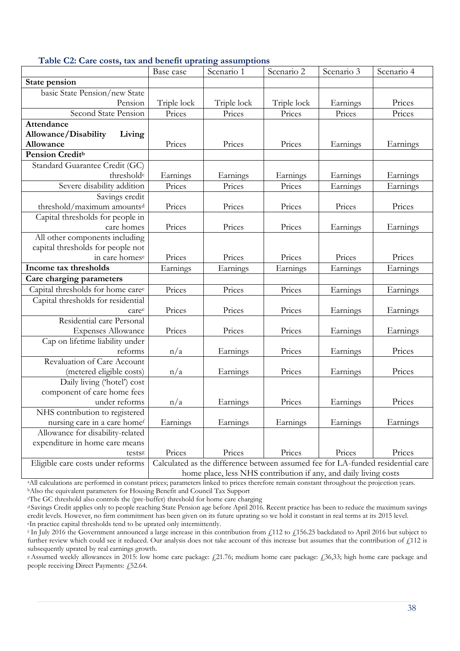|                                        | Base case                                                                       | Scenario 1  | Scenario 2  | Scenario 3 | Scenario 4 |  |
|----------------------------------------|---------------------------------------------------------------------------------|-------------|-------------|------------|------------|--|
| State pension                          |                                                                                 |             |             |            |            |  |
| basic State Pension/new State          |                                                                                 |             |             |            |            |  |
| Pension                                | Triple lock                                                                     | Triple lock | Triple lock | Earnings   | Prices     |  |
| Second State Pension                   | Prices                                                                          | Prices      | Prices      | Prices     | Prices     |  |
| <b>Attendance</b>                      |                                                                                 |             |             |            |            |  |
| Allowance/Disability<br>Living         |                                                                                 |             |             |            |            |  |
| Allowance                              | Prices                                                                          | Prices      | Prices      | Earnings   | Earnings   |  |
| <b>Pension Creditb</b>                 |                                                                                 |             |             |            |            |  |
| Standard Guarantee Credit (GC)         |                                                                                 |             |             |            |            |  |
| threshold <sup>c</sup>                 | Earnings                                                                        | Earnings    | Earnings    | Earnings   | Earnings   |  |
| Severe disability addition             | Prices                                                                          | Prices      | Prices      | Earnings   | Earnings   |  |
| Savings credit                         |                                                                                 |             |             |            |            |  |
| threshold/maximum amounts <sup>d</sup> | Prices                                                                          | Prices      | Prices      | Prices     | Prices     |  |
| Capital thresholds for people in       |                                                                                 |             |             |            |            |  |
| care homes                             | Prices                                                                          | Prices      | Prices      | Earnings   | Earnings   |  |
| All other components including         |                                                                                 |             |             |            |            |  |
| capital thresholds for people not      |                                                                                 |             |             |            |            |  |
| in care homese                         | Prices                                                                          | Prices      | Prices      | Prices     | Prices     |  |
| Income tax thresholds                  | Earnings                                                                        | Earnings    | Earnings    | Earnings   | Earnings   |  |
| Care charging parameters               |                                                                                 |             |             |            |            |  |
| Capital thresholds for home caree      | Prices                                                                          | Prices      | Prices      | Earnings   | Earnings   |  |
| Capital thresholds for residential     |                                                                                 |             |             |            |            |  |
| caree                                  | Prices                                                                          | Prices      | Prices      | Earnings   | Earnings   |  |
| Residential care Personal              |                                                                                 |             |             |            |            |  |
| <b>Expenses Allowance</b>              | Prices                                                                          | Prices      | Prices      | Earnings   | Earnings   |  |
| Cap on lifetime liability under        |                                                                                 |             |             |            |            |  |
| reforms                                | n/a                                                                             | Earnings    | Prices      | Earnings   | Prices     |  |
| Revaluation of Care Account            |                                                                                 |             |             |            |            |  |
| (metered eligible costs)               | n/a                                                                             | Earnings    | Prices      | Earnings   | Prices     |  |
| Daily living ('hotel') cost            |                                                                                 |             |             |            |            |  |
| component of care home fees            |                                                                                 |             |             |            |            |  |
| under reforms                          | n/a                                                                             | Earnings    | Prices      | Earnings   | Prices     |  |
| NHS contribution to registered         |                                                                                 |             |             |            |            |  |
| nursing care in a care homef           | Earnings                                                                        | Earnings    | Earnings    | Earnings   | Earnings   |  |
| Allowance for disability-related       |                                                                                 |             |             |            |            |  |
| expenditure in home care means         |                                                                                 |             |             |            |            |  |
| testsg                                 | Prices                                                                          | Prices      | Prices      | Prices     | Prices     |  |
| Eligible care costs under reforms      | Calculated as the difference between assumed fee for LA-funded residential care |             |             |            |            |  |
|                                        | home place, less NHS contribution if any, and daily living costs                |             |             |            |            |  |

aAll calculations are performed in constant prices; parameters linked to prices therefore remain constant throughout the projection years. <sup>b</sup>Also the equivalent parameters for Housing Benefit and Council Tax Support

<sup>c</sup>The GC threshold also controls the (pre-buffer) threshold for home care charging

d Savings Credit applies only to people reaching State Pension age before April 2016. Recent practice has been to reduce the maximum savings credit levels. However, no firm commitment has been given on its future uprating so we hold it constant in real terms at its 2015 level. <sup>e</sup>In practice capital thresholds tend to be uprated only intermittently.

<sup>f</sup> In July 2016 the Government announced a large increase in this contribution from  $f$ 112 to  $f$ 156.25 backdated to April 2016 but subject to further review which could see it reduced. Our analysis does not take account of this increase but assumes that the contribution of  $\hat{L}$ 112 is subsequently uprated by real earnings growth.

<sup>g</sup>Assumed weekly allowances in 2015: low home care package: £21.76; medium home care package: £36,33; high home care package and people receiving Direct Payments: £52.64.